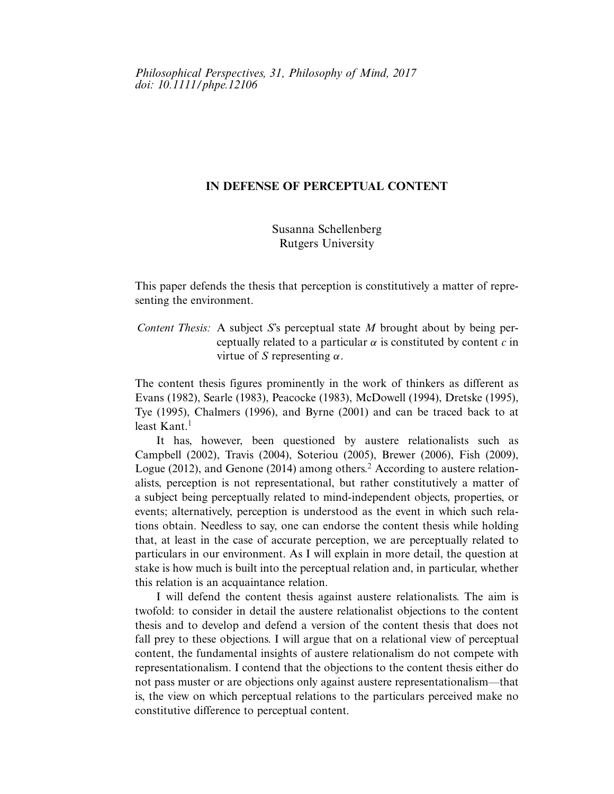*Philosophical Perspectives, 31, Philosophy of Mind, 2017 doi: 10.1111/phpe.12106*

## **IN DEFENSE OF PERCEPTUAL CONTENT**

Susanna Schellenberg Rutgers University

This paper defends the thesis that perception is constitutively a matter of representing the environment.

*Content Thesis:* A subject *S*'s perceptual state *M* brought about by being perceptually related to a particular  $\alpha$  is constituted by content  $c$  in virtue of *S* representing  $\alpha$ .

The content thesis figures prominently in the work of thinkers as different as Evans (1982), Searle (1983), Peacocke (1983), McDowell (1994), Dretske (1995), Tye (1995), Chalmers (1996), and Byrne (2001) and can be traced back to at least  $Kant<sup>1</sup>$ 

It has, however, been questioned by austere relationalists such as Campbell (2002), Travis (2004), Soteriou (2005), Brewer (2006), Fish (2009), Logue (2012), and Genone (2014) among others.<sup>2</sup> According to austere relationalists, perception is not representational, but rather constitutively a matter of a subject being perceptually related to mind-independent objects, properties, or events; alternatively, perception is understood as the event in which such relations obtain. Needless to say, one can endorse the content thesis while holding that, at least in the case of accurate perception, we are perceptually related to particulars in our environment. As I will explain in more detail, the question at stake is how much is built into the perceptual relation and, in particular, whether this relation is an acquaintance relation.

I will defend the content thesis against austere relationalists. The aim is twofold: to consider in detail the austere relationalist objections to the content thesis and to develop and defend a version of the content thesis that does not fall prey to these objections. I will argue that on a relational view of perceptual content, the fundamental insights of austere relationalism do not compete with representationalism. I contend that the objections to the content thesis either do not pass muster or are objections only against austere representationalism—that is, the view on which perceptual relations to the particulars perceived make no constitutive difference to perceptual content.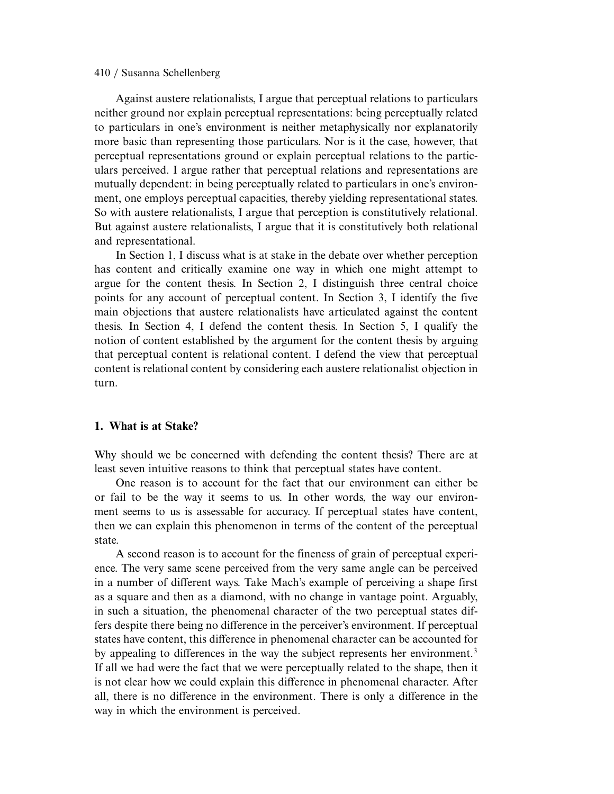Against austere relationalists, I argue that perceptual relations to particulars neither ground nor explain perceptual representations: being perceptually related to particulars in one's environment is neither metaphysically nor explanatorily more basic than representing those particulars. Nor is it the case, however, that perceptual representations ground or explain perceptual relations to the particulars perceived. I argue rather that perceptual relations and representations are mutually dependent: in being perceptually related to particulars in one's environment, one employs perceptual capacities, thereby yielding representational states. So with austere relationalists, I argue that perception is constitutively relational. But against austere relationalists, I argue that it is constitutively both relational and representational.

In Section 1, I discuss what is at stake in the debate over whether perception has content and critically examine one way in which one might attempt to argue for the content thesis. In Section 2, I distinguish three central choice points for any account of perceptual content. In Section 3, I identify the five main objections that austere relationalists have articulated against the content thesis. In Section 4, I defend the content thesis. In Section 5, I qualify the notion of content established by the argument for the content thesis by arguing that perceptual content is relational content. I defend the view that perceptual content is relational content by considering each austere relationalist objection in turn.

## **1. What is at Stake?**

Why should we be concerned with defending the content thesis? There are at least seven intuitive reasons to think that perceptual states have content.

One reason is to account for the fact that our environment can either be or fail to be the way it seems to us. In other words, the way our environment seems to us is assessable for accuracy. If perceptual states have content, then we can explain this phenomenon in terms of the content of the perceptual state.

A second reason is to account for the fineness of grain of perceptual experience. The very same scene perceived from the very same angle can be perceived in a number of different ways. Take Mach's example of perceiving a shape first as a square and then as a diamond, with no change in vantage point. Arguably, in such a situation, the phenomenal character of the two perceptual states differs despite there being no difference in the perceiver's environment. If perceptual states have content, this difference in phenomenal character can be accounted for by appealing to differences in the way the subject represents her environment.<sup>3</sup> If all we had were the fact that we were perceptually related to the shape, then it is not clear how we could explain this difference in phenomenal character. After all, there is no difference in the environment. There is only a difference in the way in which the environment is perceived.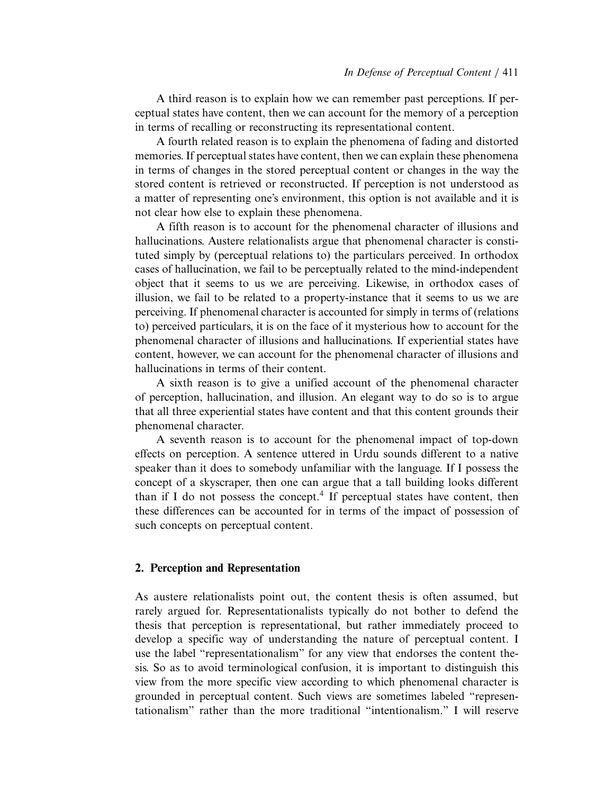A third reason is to explain how we can remember past perceptions. If perceptual states have content, then we can account for the memory of a perception in terms of recalling or reconstructing its representational content.

A fourth related reason is to explain the phenomena of fading and distorted memories. If perceptual states have content, then we can explain these phenomena in terms of changes in the stored perceptual content or changes in the way the stored content is retrieved or reconstructed. If perception is not understood as a matter of representing one's environment, this option is not available and it is not clear how else to explain these phenomena.

A fifth reason is to account for the phenomenal character of illusions and hallucinations. Austere relationalists argue that phenomenal character is constituted simply by (perceptual relations to) the particulars perceived. In orthodox cases of hallucination, we fail to be perceptually related to the mind-independent object that it seems to us we are perceiving. Likewise, in orthodox cases of illusion, we fail to be related to a property-instance that it seems to us we are perceiving. If phenomenal character is accounted for simply in terms of (relations to) perceived particulars, it is on the face of it mysterious how to account for the phenomenal character of illusions and hallucinations. If experiential states have content, however, we can account for the phenomenal character of illusions and hallucinations in terms of their content.

A sixth reason is to give a unified account of the phenomenal character of perception, hallucination, and illusion. An elegant way to do so is to argue that all three experiential states have content and that this content grounds their phenomenal character.

A seventh reason is to account for the phenomenal impact of top-down effects on perception. A sentence uttered in Urdu sounds different to a native speaker than it does to somebody unfamiliar with the language. If I possess the concept of a skyscraper, then one can argue that a tall building looks different than if I do not possess the concept.<sup>4</sup> If perceptual states have content, then these differences can be accounted for in terms of the impact of possession of such concepts on perceptual content.

### **2. Perception and Representation**

As austere relationalists point out, the content thesis is often assumed, but rarely argued for. Representationalists typically do not bother to defend the thesis that perception is representational, but rather immediately proceed to develop a specific way of understanding the nature of perceptual content. I use the label "representationalism" for any view that endorses the content thesis. So as to avoid terminological confusion, it is important to distinguish this view from the more specific view according to which phenomenal character is grounded in perceptual content. Such views are sometimes labeled "representationalism" rather than the more traditional "intentionalism." I will reserve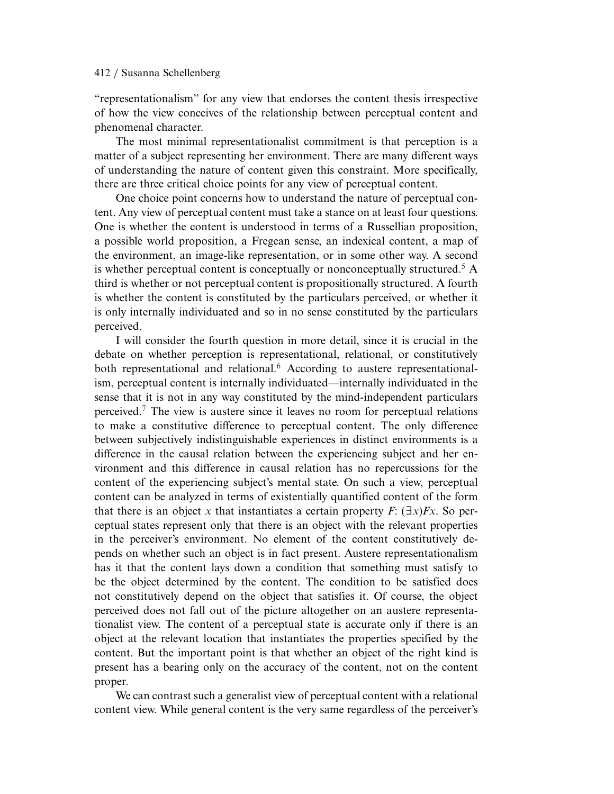"representationalism" for any view that endorses the content thesis irrespective of how the view conceives of the relationship between perceptual content and phenomenal character.

The most minimal representationalist commitment is that perception is a matter of a subject representing her environment. There are many different ways of understanding the nature of content given this constraint. More specifically, there are three critical choice points for any view of perceptual content.

One choice point concerns how to understand the nature of perceptual content. Any view of perceptual content must take a stance on at least four questions. One is whether the content is understood in terms of a Russellian proposition, a possible world proposition, a Fregean sense, an indexical content, a map of the environment, an image-like representation, or in some other way. A second is whether perceptual content is conceptually or nonconceptually structured.<sup>5</sup> A third is whether or not perceptual content is propositionally structured. A fourth is whether the content is constituted by the particulars perceived, or whether it is only internally individuated and so in no sense constituted by the particulars perceived.

I will consider the fourth question in more detail, since it is crucial in the debate on whether perception is representational, relational, or constitutively both representational and relational.<sup>6</sup> According to austere representationalism, perceptual content is internally individuated—internally individuated in the sense that it is not in any way constituted by the mind-independent particulars perceived.<sup>7</sup> The view is austere since it leaves no room for perceptual relations to make a constitutive difference to perceptual content. The only difference between subjectively indistinguishable experiences in distinct environments is a difference in the causal relation between the experiencing subject and her environment and this difference in causal relation has no repercussions for the content of the experiencing subject's mental state. On such a view, perceptual content can be analyzed in terms of existentially quantified content of the form that there is an object *x* that instantiates a certain property *F*:  $(\exists x)Fx$ . So perceptual states represent only that there is an object with the relevant properties in the perceiver's environment. No element of the content constitutively depends on whether such an object is in fact present. Austere representationalism has it that the content lays down a condition that something must satisfy to be the object determined by the content. The condition to be satisfied does not constitutively depend on the object that satisfies it. Of course, the object perceived does not fall out of the picture altogether on an austere representationalist view. The content of a perceptual state is accurate only if there is an object at the relevant location that instantiates the properties specified by the content. But the important point is that whether an object of the right kind is present has a bearing only on the accuracy of the content, not on the content proper.

We can contrast such a generalist view of perceptual content with a relational content view. While general content is the very same regardless of the perceiver's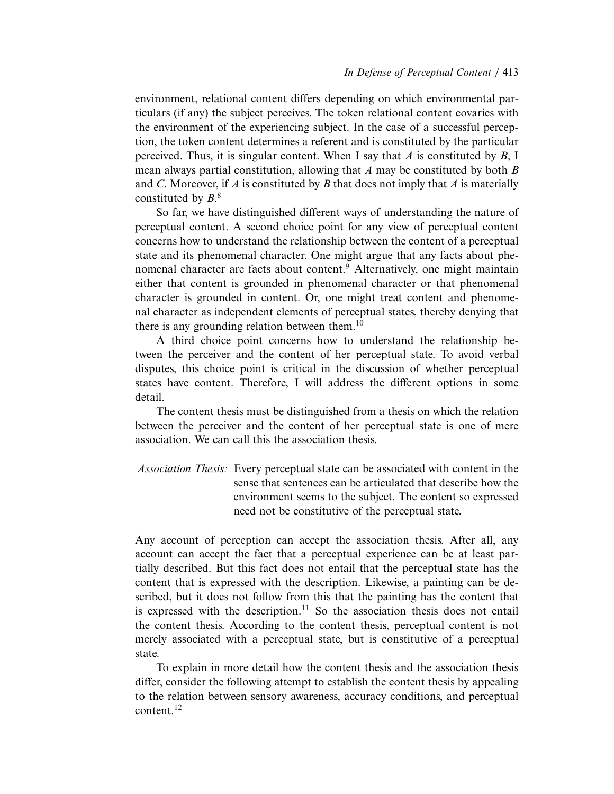environment, relational content differs depending on which environmental particulars (if any) the subject perceives. The token relational content covaries with the environment of the experiencing subject. In the case of a successful perception, the token content determines a referent and is constituted by the particular perceived. Thus, it is singular content. When I say that *A* is constituted by *B*, I mean always partial constitution, allowing that *A* may be constituted by both *B* and *C*. Moreover, if *A* is constituted by *B* that does not imply that *A* is materially constituted by *B*. 8

So far, we have distinguished different ways of understanding the nature of perceptual content. A second choice point for any view of perceptual content concerns how to understand the relationship between the content of a perceptual state and its phenomenal character. One might argue that any facts about phenomenal character are facts about content.<sup>9</sup> Alternatively, one might maintain either that content is grounded in phenomenal character or that phenomenal character is grounded in content. Or, one might treat content and phenomenal character as independent elements of perceptual states, thereby denying that there is any grounding relation between them.<sup>10</sup>

A third choice point concerns how to understand the relationship between the perceiver and the content of her perceptual state. To avoid verbal disputes, this choice point is critical in the discussion of whether perceptual states have content. Therefore, I will address the different options in some detail.

The content thesis must be distinguished from a thesis on which the relation between the perceiver and the content of her perceptual state is one of mere association. We can call this the association thesis.

*Association Thesis:* Every perceptual state can be associated with content in the sense that sentences can be articulated that describe how the environment seems to the subject. The content so expressed need not be constitutive of the perceptual state.

Any account of perception can accept the association thesis. After all, any account can accept the fact that a perceptual experience can be at least partially described. But this fact does not entail that the perceptual state has the content that is expressed with the description. Likewise, a painting can be described, but it does not follow from this that the painting has the content that is expressed with the description.<sup>11</sup> So the association thesis does not entail the content thesis. According to the content thesis, perceptual content is not merely associated with a perceptual state, but is constitutive of a perceptual state.

To explain in more detail how the content thesis and the association thesis differ, consider the following attempt to establish the content thesis by appealing to the relation between sensory awareness, accuracy conditions, and perceptual content. $^{12}$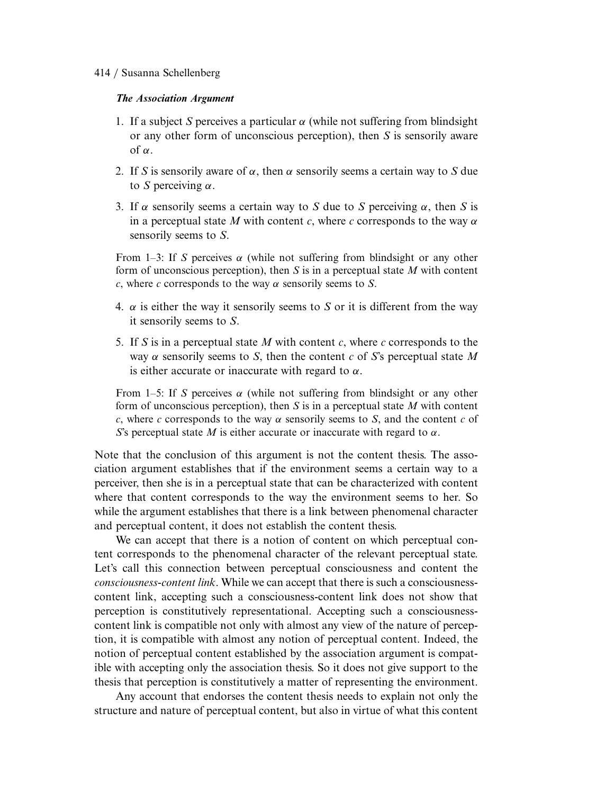#### *The Association Argument*

- 1. If a subject *S* perceives a particular  $\alpha$  (while not suffering from blindsight or any other form of unconscious perception), then *S* is sensorily aware of  $\alpha$ .
- 2. If *S* is sensorily aware of  $\alpha$ , then  $\alpha$  sensorily seems a certain way to *S* due to *S* perceiving  $\alpha$ .
- 3. If  $\alpha$  sensorily seems a certain way to *S* due to *S* perceiving  $\alpha$ , then *S* is in a perceptual state *M* with content *c*, where *c* corresponds to the way  $\alpha$ sensorily seems to *S*.

From 1–3: If *S* perceives  $\alpha$  (while not suffering from blindsight or any other form of unconscious perception), then *S* is in a perceptual state *M* with content *c*, where *c* corresponds to the way α sensorily seems to *S*.

- 4.  $\alpha$  is either the way it sensorily seems to *S* or it is different from the way it sensorily seems to *S*.
- 5. If *S* is in a perceptual state *M* with content *c*, where *c* corresponds to the way α sensorily seems to *S*, then the content *c* of *S*'s perceptual state *M* is either accurate or inaccurate with regard to  $\alpha$ .

From 1–5: If *S* perceives  $\alpha$  (while not suffering from blindsight or any other form of unconscious perception), then *S* is in a perceptual state *M* with content *c*, where *c* corresponds to the way α sensorily seems to *S*, and the content *c* of *S*'s perceptual state *M* is either accurate or inaccurate with regard to  $\alpha$ .

Note that the conclusion of this argument is not the content thesis. The association argument establishes that if the environment seems a certain way to a perceiver, then she is in a perceptual state that can be characterized with content where that content corresponds to the way the environment seems to her. So while the argument establishes that there is a link between phenomenal character and perceptual content, it does not establish the content thesis.

We can accept that there is a notion of content on which perceptual content corresponds to the phenomenal character of the relevant perceptual state. Let's call this connection between perceptual consciousness and content the *consciousness-content link*. While we can accept that there is such a consciousnesscontent link, accepting such a consciousness-content link does not show that perception is constitutively representational. Accepting such a consciousnesscontent link is compatible not only with almost any view of the nature of perception, it is compatible with almost any notion of perceptual content. Indeed, the notion of perceptual content established by the association argument is compatible with accepting only the association thesis. So it does not give support to the thesis that perception is constitutively a matter of representing the environment.

Any account that endorses the content thesis needs to explain not only the structure and nature of perceptual content, but also in virtue of what this content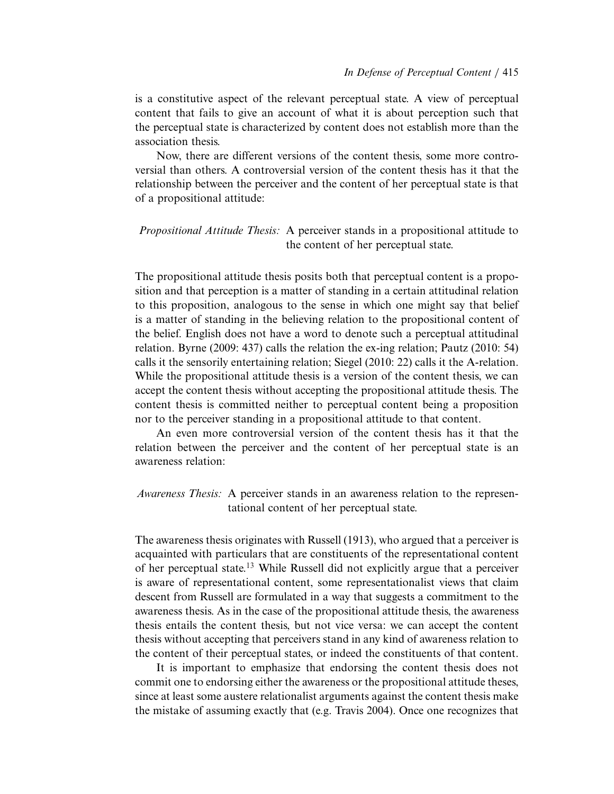is a constitutive aspect of the relevant perceptual state. A view of perceptual content that fails to give an account of what it is about perception such that the perceptual state is characterized by content does not establish more than the association thesis.

Now, there are different versions of the content thesis, some more controversial than others. A controversial version of the content thesis has it that the relationship between the perceiver and the content of her perceptual state is that of a propositional attitude:

*Propositional Attitude Thesis:* A perceiver stands in a propositional attitude to the content of her perceptual state.

The propositional attitude thesis posits both that perceptual content is a proposition and that perception is a matter of standing in a certain attitudinal relation to this proposition, analogous to the sense in which one might say that belief is a matter of standing in the believing relation to the propositional content of the belief. English does not have a word to denote such a perceptual attitudinal relation. Byrne (2009: 437) calls the relation the ex-ing relation; Pautz (2010: 54) calls it the sensorily entertaining relation; Siegel (2010: 22) calls it the A-relation. While the propositional attitude thesis is a version of the content thesis, we can accept the content thesis without accepting the propositional attitude thesis. The content thesis is committed neither to perceptual content being a proposition nor to the perceiver standing in a propositional attitude to that content.

An even more controversial version of the content thesis has it that the relation between the perceiver and the content of her perceptual state is an awareness relation:

*Awareness Thesis:* A perceiver stands in an awareness relation to the representational content of her perceptual state.

The awareness thesis originates with Russell (1913), who argued that a perceiver is acquainted with particulars that are constituents of the representational content of her perceptual state.13 While Russell did not explicitly argue that a perceiver is aware of representational content, some representationalist views that claim descent from Russell are formulated in a way that suggests a commitment to the awareness thesis. As in the case of the propositional attitude thesis, the awareness thesis entails the content thesis, but not vice versa: we can accept the content thesis without accepting that perceivers stand in any kind of awareness relation to the content of their perceptual states, or indeed the constituents of that content.

It is important to emphasize that endorsing the content thesis does not commit one to endorsing either the awareness or the propositional attitude theses, since at least some austere relationalist arguments against the content thesis make the mistake of assuming exactly that (e.g. Travis 2004). Once one recognizes that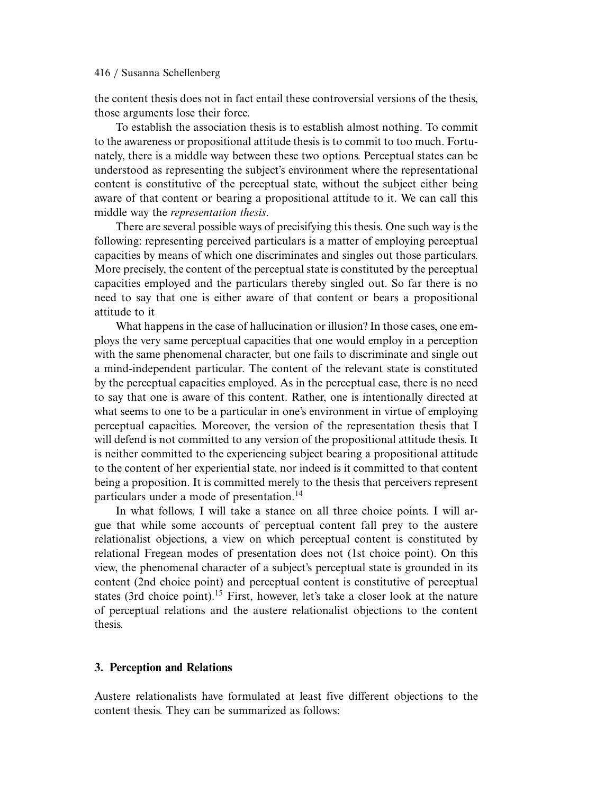the content thesis does not in fact entail these controversial versions of the thesis, those arguments lose their force.

To establish the association thesis is to establish almost nothing. To commit to the awareness or propositional attitude thesis is to commit to too much. Fortunately, there is a middle way between these two options. Perceptual states can be understood as representing the subject's environment where the representational content is constitutive of the perceptual state, without the subject either being aware of that content or bearing a propositional attitude to it. We can call this middle way the *representation thesis*.

There are several possible ways of precisifying this thesis. One such way is the following: representing perceived particulars is a matter of employing perceptual capacities by means of which one discriminates and singles out those particulars. More precisely, the content of the perceptual state is constituted by the perceptual capacities employed and the particulars thereby singled out. So far there is no need to say that one is either aware of that content or bears a propositional attitude to it

What happens in the case of hallucination or illusion? In those cases, one employs the very same perceptual capacities that one would employ in a perception with the same phenomenal character, but one fails to discriminate and single out a mind-independent particular. The content of the relevant state is constituted by the perceptual capacities employed. As in the perceptual case, there is no need to say that one is aware of this content. Rather, one is intentionally directed at what seems to one to be a particular in one's environment in virtue of employing perceptual capacities. Moreover, the version of the representation thesis that I will defend is not committed to any version of the propositional attitude thesis. It is neither committed to the experiencing subject bearing a propositional attitude to the content of her experiential state, nor indeed is it committed to that content being a proposition. It is committed merely to the thesis that perceivers represent particulars under a mode of presentation.<sup>14</sup>

In what follows, I will take a stance on all three choice points. I will argue that while some accounts of perceptual content fall prey to the austere relationalist objections, a view on which perceptual content is constituted by relational Fregean modes of presentation does not (1st choice point). On this view, the phenomenal character of a subject's perceptual state is grounded in its content (2nd choice point) and perceptual content is constitutive of perceptual states (3rd choice point).<sup>15</sup> First, however, let's take a closer look at the nature of perceptual relations and the austere relationalist objections to the content thesis.

## **3. Perception and Relations**

Austere relationalists have formulated at least five different objections to the content thesis. They can be summarized as follows: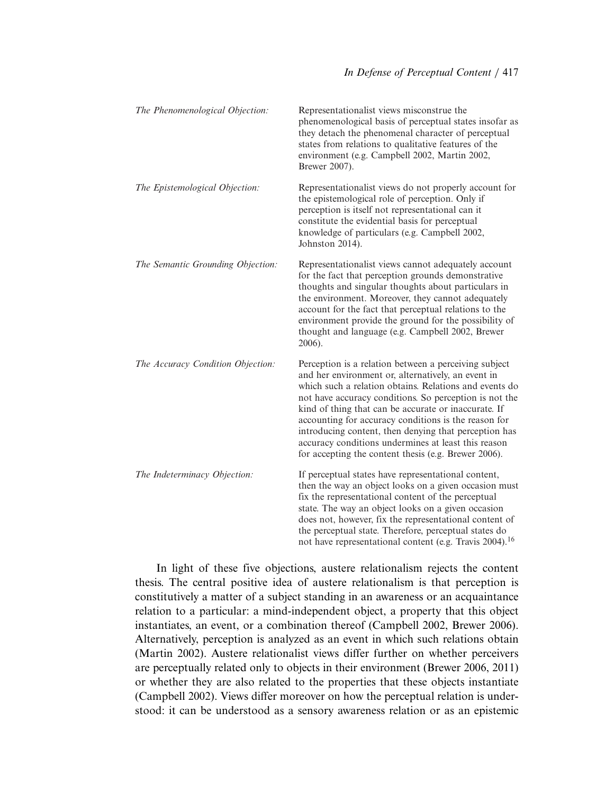| The Phenomenological Objection:   | Representationalist views misconstrue the<br>phenomenological basis of perceptual states insofar as<br>they detach the phenomenal character of perceptual<br>states from relations to qualitative features of the<br>environment (e.g. Campbell 2002, Martin 2002,<br>Brewer 2007).                                                                                                                                                                                                                                     |
|-----------------------------------|-------------------------------------------------------------------------------------------------------------------------------------------------------------------------------------------------------------------------------------------------------------------------------------------------------------------------------------------------------------------------------------------------------------------------------------------------------------------------------------------------------------------------|
| The Epistemological Objection:    | Representationalist views do not properly account for<br>the epistemological role of perception. Only if<br>perception is itself not representational can it<br>constitute the evidential basis for perceptual<br>knowledge of particulars (e.g. Campbell 2002,<br>Johnston 2014).                                                                                                                                                                                                                                      |
| The Semantic Grounding Objection: | Representationalist views cannot adequately account<br>for the fact that perception grounds demonstrative<br>thoughts and singular thoughts about particulars in<br>the environment. Moreover, they cannot adequately<br>account for the fact that perceptual relations to the<br>environment provide the ground for the possibility of<br>thought and language (e.g. Campbell 2002, Brewer<br>2006).                                                                                                                   |
| The Accuracy Condition Objection: | Perception is a relation between a perceiving subject<br>and her environment or, alternatively, an event in<br>which such a relation obtains. Relations and events do<br>not have accuracy conditions. So perception is not the<br>kind of thing that can be accurate or inaccurate. If<br>accounting for accuracy conditions is the reason for<br>introducing content, then denying that perception has<br>accuracy conditions undermines at least this reason<br>for accepting the content thesis (e.g. Brewer 2006). |
| The Indeterminacy Objection:      | If perceptual states have representational content,<br>then the way an object looks on a given occasion must<br>fix the representational content of the perceptual<br>state. The way an object looks on a given occasion<br>does not, however, fix the representational content of<br>the perceptual state. Therefore, perceptual states do<br>not have representational content (e.g. Travis 2004). <sup>16</sup>                                                                                                      |

In light of these five objections, austere relationalism rejects the content thesis. The central positive idea of austere relationalism is that perception is constitutively a matter of a subject standing in an awareness or an acquaintance relation to a particular: a mind-independent object, a property that this object instantiates, an event, or a combination thereof (Campbell 2002, Brewer 2006). Alternatively, perception is analyzed as an event in which such relations obtain (Martin 2002). Austere relationalist views differ further on whether perceivers are perceptually related only to objects in their environment (Brewer 2006, 2011) or whether they are also related to the properties that these objects instantiate (Campbell 2002). Views differ moreover on how the perceptual relation is understood: it can be understood as a sensory awareness relation or as an epistemic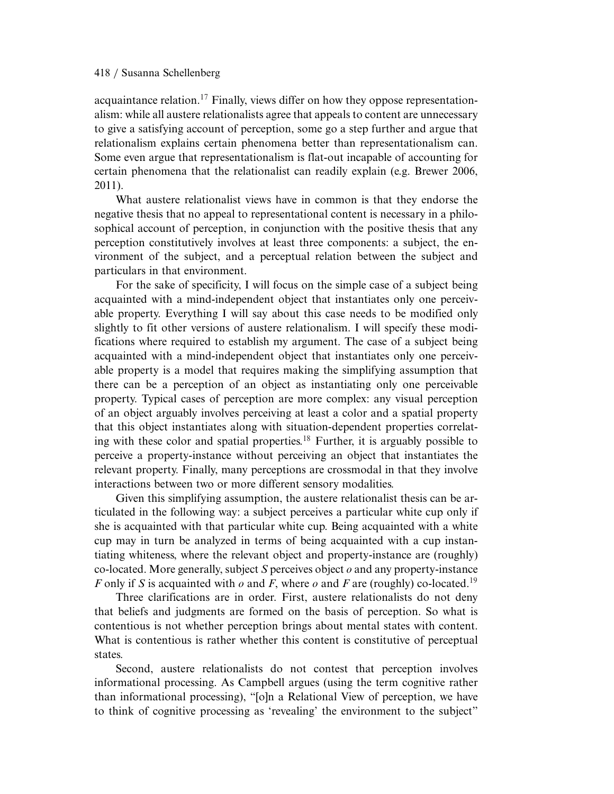acquaintance relation.<sup>17</sup> Finally, views differ on how they oppose representationalism: while all austere relationalists agree that appeals to content are unnecessary to give a satisfying account of perception, some go a step further and argue that relationalism explains certain phenomena better than representationalism can. Some even argue that representationalism is flat-out incapable of accounting for certain phenomena that the relationalist can readily explain (e.g. Brewer 2006, 2011).

What austere relationalist views have in common is that they endorse the negative thesis that no appeal to representational content is necessary in a philosophical account of perception, in conjunction with the positive thesis that any perception constitutively involves at least three components: a subject, the environment of the subject, and a perceptual relation between the subject and particulars in that environment.

For the sake of specificity, I will focus on the simple case of a subject being acquainted with a mind-independent object that instantiates only one perceivable property. Everything I will say about this case needs to be modified only slightly to fit other versions of austere relationalism. I will specify these modifications where required to establish my argument. The case of a subject being acquainted with a mind-independent object that instantiates only one perceivable property is a model that requires making the simplifying assumption that there can be a perception of an object as instantiating only one perceivable property. Typical cases of perception are more complex: any visual perception of an object arguably involves perceiving at least a color and a spatial property that this object instantiates along with situation-dependent properties correlating with these color and spatial properties.<sup>18</sup> Further, it is arguably possible to perceive a property-instance without perceiving an object that instantiates the relevant property. Finally, many perceptions are crossmodal in that they involve interactions between two or more different sensory modalities.

Given this simplifying assumption, the austere relationalist thesis can be articulated in the following way: a subject perceives a particular white cup only if she is acquainted with that particular white cup. Being acquainted with a white cup may in turn be analyzed in terms of being acquainted with a cup instantiating whiteness, where the relevant object and property-instance are (roughly) co-located. More generally, subject *S* perceives object *o* and any property-instance *F* only if *S* is acquainted with *o* and *F*, where *o* and *F* are (roughly) co-located.<sup>19</sup>

Three clarifications are in order. First, austere relationalists do not deny that beliefs and judgments are formed on the basis of perception. So what is contentious is not whether perception brings about mental states with content. What is contentious is rather whether this content is constitutive of perceptual states.

Second, austere relationalists do not contest that perception involves informational processing. As Campbell argues (using the term cognitive rather than informational processing), "[o]n a Relational View of perception, we have to think of cognitive processing as 'revealing' the environment to the subject"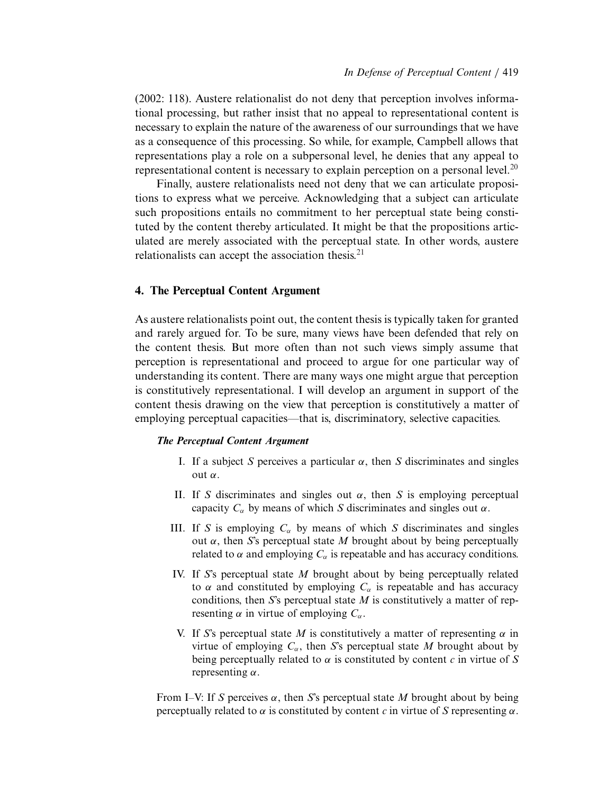(2002: 118). Austere relationalist do not deny that perception involves informational processing, but rather insist that no appeal to representational content is necessary to explain the nature of the awareness of our surroundings that we have as a consequence of this processing. So while, for example, Campbell allows that representations play a role on a subpersonal level, he denies that any appeal to representational content is necessary to explain perception on a personal level.<sup>20</sup>

Finally, austere relationalists need not deny that we can articulate propositions to express what we perceive. Acknowledging that a subject can articulate such propositions entails no commitment to her perceptual state being constituted by the content thereby articulated. It might be that the propositions articulated are merely associated with the perceptual state. In other words, austere relationalists can accept the association thesis. $21$ 

#### **4. The Perceptual Content Argument**

As austere relationalists point out, the content thesis is typically taken for granted and rarely argued for. To be sure, many views have been defended that rely on the content thesis. But more often than not such views simply assume that perception is representational and proceed to argue for one particular way of understanding its content. There are many ways one might argue that perception is constitutively representational. I will develop an argument in support of the content thesis drawing on the view that perception is constitutively a matter of employing perceptual capacities—that is, discriminatory, selective capacities.

### *The Perceptual Content Argument*

- I. If a subject *S* perceives a particular  $\alpha$ , then *S* discriminates and singles out α.
- II. If *S* discriminates and singles out  $\alpha$ , then *S* is employing perceptual capacity  $C_{\alpha}$  by means of which *S* discriminates and singles out  $\alpha$ .
- III. If *S* is employing  $C_\alpha$  by means of which *S* discriminates and singles out  $α$ , then *S*'s perceptual state *M* brought about by being perceptually related to  $\alpha$  and employing  $C_{\alpha}$  is repeatable and has accuracy conditions.
- IV. If *S*'s perceptual state *M* brought about by being perceptually related to  $\alpha$  and constituted by employing  $C_{\alpha}$  is repeatable and has accuracy conditions, then *S*'s perceptual state *M* is constitutively a matter of representing  $\alpha$  in virtue of employing  $C_{\alpha}$ .
- V. If *S*'s perceptual state *M* is constitutively a matter of representing  $\alpha$  in virtue of employing  $C_{\alpha}$ , then *S*'s perceptual state *M* brought about by being perceptually related to  $\alpha$  is constituted by content  $c$  in virtue of  $S$ representing  $\alpha$ .

From I–V: If *S* perceives  $\alpha$ , then *S*'s perceptual state *M* brought about by being perceptually related to  $\alpha$  is constituted by content *c* in virtue of *S* representing  $\alpha$ .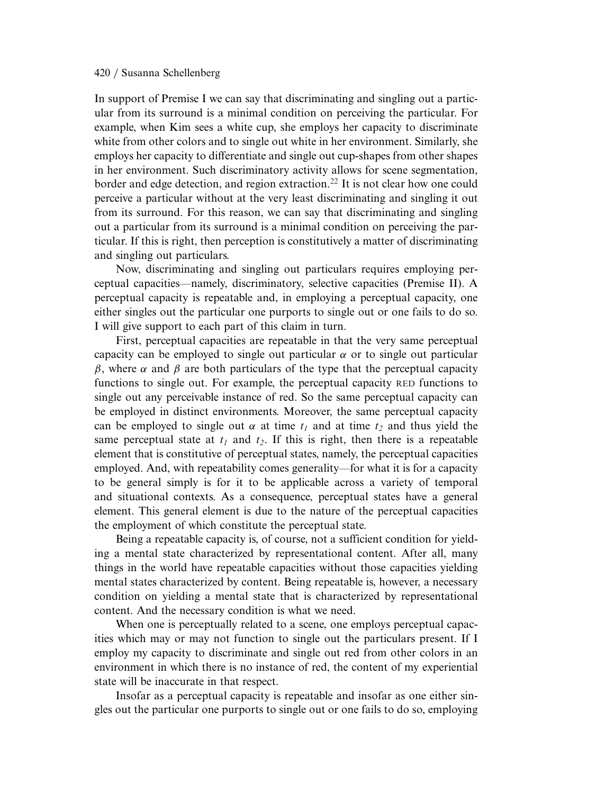In support of Premise I we can say that discriminating and singling out a particular from its surround is a minimal condition on perceiving the particular. For example, when Kim sees a white cup, she employs her capacity to discriminate white from other colors and to single out white in her environment. Similarly, she employs her capacity to differentiate and single out cup-shapes from other shapes in her environment. Such discriminatory activity allows for scene segmentation, border and edge detection, and region extraction.<sup>22</sup> It is not clear how one could perceive a particular without at the very least discriminating and singling it out from its surround. For this reason, we can say that discriminating and singling out a particular from its surround is a minimal condition on perceiving the particular. If this is right, then perception is constitutively a matter of discriminating and singling out particulars.

Now, discriminating and singling out particulars requires employing perceptual capacities—namely, discriminatory, selective capacities (Premise II). A perceptual capacity is repeatable and, in employing a perceptual capacity, one either singles out the particular one purports to single out or one fails to do so. I will give support to each part of this claim in turn.

First, perceptual capacities are repeatable in that the very same perceptual capacity can be employed to single out particular  $\alpha$  or to single out particular β, where  $\alpha$  and β are both particulars of the type that the perceptual capacity functions to single out. For example, the perceptual capacity RED functions to single out any perceivable instance of red. So the same perceptual capacity can be employed in distinct environments. Moreover, the same perceptual capacity can be employed to single out  $\alpha$  at time  $t_1$  and at time  $t_2$  and thus yield the same perceptual state at  $t_1$  and  $t_2$ . If this is right, then there is a repeatable element that is constitutive of perceptual states, namely, the perceptual capacities employed. And, with repeatability comes generality—for what it is for a capacity to be general simply is for it to be applicable across a variety of temporal and situational contexts. As a consequence, perceptual states have a general element. This general element is due to the nature of the perceptual capacities the employment of which constitute the perceptual state.

Being a repeatable capacity is, of course, not a sufficient condition for yielding a mental state characterized by representational content. After all, many things in the world have repeatable capacities without those capacities yielding mental states characterized by content. Being repeatable is, however, a necessary condition on yielding a mental state that is characterized by representational content. And the necessary condition is what we need.

When one is perceptually related to a scene, one employs perceptual capacities which may or may not function to single out the particulars present. If I employ my capacity to discriminate and single out red from other colors in an environment in which there is no instance of red, the content of my experiential state will be inaccurate in that respect.

Insofar as a perceptual capacity is repeatable and insofar as one either singles out the particular one purports to single out or one fails to do so, employing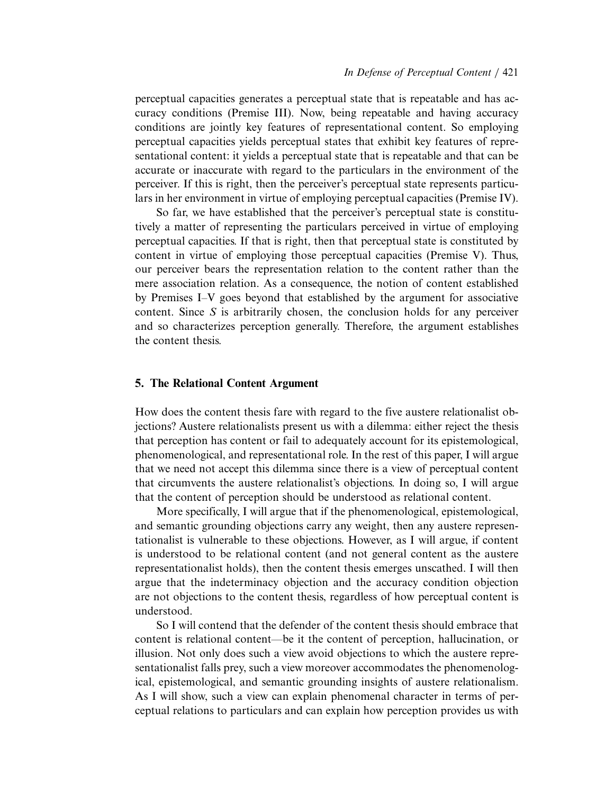perceptual capacities generates a perceptual state that is repeatable and has accuracy conditions (Premise III). Now, being repeatable and having accuracy conditions are jointly key features of representational content. So employing perceptual capacities yields perceptual states that exhibit key features of representational content: it yields a perceptual state that is repeatable and that can be accurate or inaccurate with regard to the particulars in the environment of the perceiver. If this is right, then the perceiver's perceptual state represents particulars in her environment in virtue of employing perceptual capacities (Premise IV).

So far, we have established that the perceiver's perceptual state is constitutively a matter of representing the particulars perceived in virtue of employing perceptual capacities. If that is right, then that perceptual state is constituted by content in virtue of employing those perceptual capacities (Premise V). Thus, our perceiver bears the representation relation to the content rather than the mere association relation. As a consequence, the notion of content established by Premises I–V goes beyond that established by the argument for associative content. Since *S* is arbitrarily chosen, the conclusion holds for any perceiver and so characterizes perception generally. Therefore, the argument establishes the content thesis.

### **5. The Relational Content Argument**

How does the content thesis fare with regard to the five austere relationalist objections? Austere relationalists present us with a dilemma: either reject the thesis that perception has content or fail to adequately account for its epistemological, phenomenological, and representational role. In the rest of this paper, I will argue that we need not accept this dilemma since there is a view of perceptual content that circumvents the austere relationalist's objections. In doing so, I will argue that the content of perception should be understood as relational content.

More specifically, I will argue that if the phenomenological, epistemological, and semantic grounding objections carry any weight, then any austere representationalist is vulnerable to these objections. However, as I will argue, if content is understood to be relational content (and not general content as the austere representationalist holds), then the content thesis emerges unscathed. I will then argue that the indeterminacy objection and the accuracy condition objection are not objections to the content thesis, regardless of how perceptual content is understood.

So I will contend that the defender of the content thesis should embrace that content is relational content—be it the content of perception, hallucination, or illusion. Not only does such a view avoid objections to which the austere representationalist falls prey, such a view moreover accommodates the phenomenological, epistemological, and semantic grounding insights of austere relationalism. As I will show, such a view can explain phenomenal character in terms of perceptual relations to particulars and can explain how perception provides us with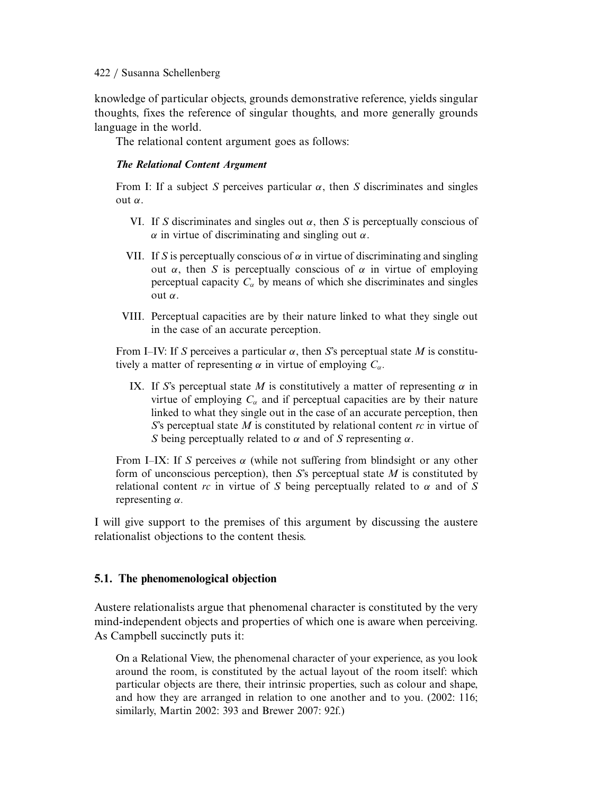knowledge of particular objects, grounds demonstrative reference, yields singular thoughts, fixes the reference of singular thoughts, and more generally grounds language in the world.

The relational content argument goes as follows:

## *The Relational Content Argument*

From I: If a subject *S* perceives particular  $\alpha$ , then *S* discriminates and singles out α.

- VI. If *S* discriminates and singles out  $\alpha$ , then *S* is perceptually conscious of  $\alpha$  in virtue of discriminating and singling out  $\alpha$ .
- VII. If *S* is perceptually conscious of  $\alpha$  in virtue of discriminating and singling out  $\alpha$ , then *S* is perceptually conscious of  $\alpha$  in virtue of employing perceptual capacity  $C_{\alpha}$  by means of which she discriminates and singles out α.
- VIII. Perceptual capacities are by their nature linked to what they single out in the case of an accurate perception.

From I–IV: If *S* perceives a particular  $\alpha$ , then *S*'s perceptual state *M* is constitutively a matter of representing  $\alpha$  in virtue of employing  $C_{\alpha}$ .

IX. If *S*'s perceptual state *M* is constitutively a matter of representing  $\alpha$  in virtue of employing  $C_{\alpha}$  and if perceptual capacities are by their nature linked to what they single out in the case of an accurate perception, then *S*'s perceptual state *M* is constituted by relational content *rc* in virtue of *S* being perceptually related to  $\alpha$  and of *S* representing  $\alpha$ .

From I–IX: If *S* perceives  $\alpha$  (while not suffering from blindsight or any other form of unconscious perception), then *S*'s perceptual state *M* is constituted by relational content *rc* in virtue of *S* being perceptually related to  $\alpha$  and of *S* representing α*.*

I will give support to the premises of this argument by discussing the austere relationalist objections to the content thesis.

# **5.1. The phenomenological objection**

Austere relationalists argue that phenomenal character is constituted by the very mind-independent objects and properties of which one is aware when perceiving. As Campbell succinctly puts it:

On a Relational View, the phenomenal character of your experience, as you look around the room, is constituted by the actual layout of the room itself: which particular objects are there, their intrinsic properties, such as colour and shape, and how they are arranged in relation to one another and to you. (2002: 116; similarly, Martin 2002: 393 and Brewer 2007: 92f.)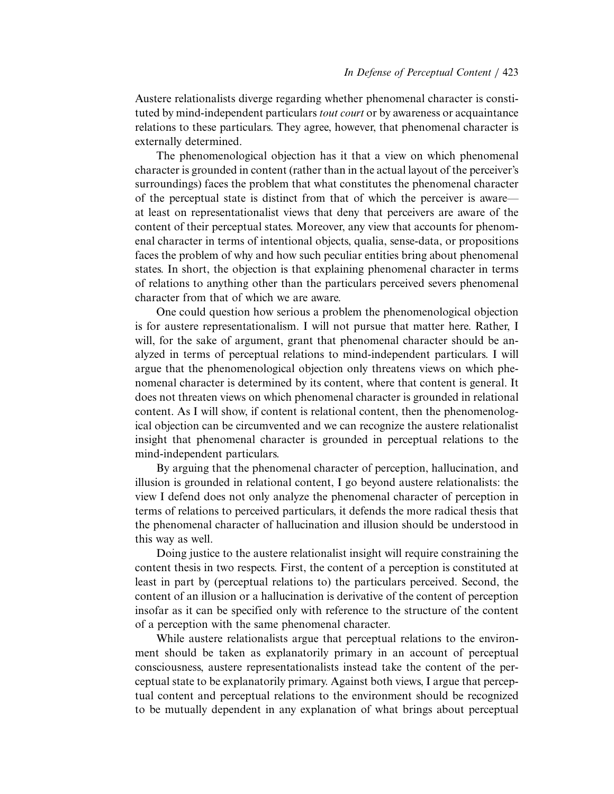Austere relationalists diverge regarding whether phenomenal character is constituted by mind-independent particulars *tout court* or by awareness or acquaintance relations to these particulars. They agree, however, that phenomenal character is externally determined.

The phenomenological objection has it that a view on which phenomenal character is grounded in content (rather than in the actual layout of the perceiver's surroundings) faces the problem that what constitutes the phenomenal character of the perceptual state is distinct from that of which the perceiver is aware at least on representationalist views that deny that perceivers are aware of the content of their perceptual states. Moreover, any view that accounts for phenomenal character in terms of intentional objects, qualia, sense-data, or propositions faces the problem of why and how such peculiar entities bring about phenomenal states. In short, the objection is that explaining phenomenal character in terms of relations to anything other than the particulars perceived severs phenomenal character from that of which we are aware.

One could question how serious a problem the phenomenological objection is for austere representationalism. I will not pursue that matter here. Rather, I will, for the sake of argument, grant that phenomenal character should be analyzed in terms of perceptual relations to mind-independent particulars. I will argue that the phenomenological objection only threatens views on which phenomenal character is determined by its content, where that content is general. It does not threaten views on which phenomenal character is grounded in relational content. As I will show, if content is relational content, then the phenomenological objection can be circumvented and we can recognize the austere relationalist insight that phenomenal character is grounded in perceptual relations to the mind-independent particulars.

By arguing that the phenomenal character of perception, hallucination, and illusion is grounded in relational content, I go beyond austere relationalists: the view I defend does not only analyze the phenomenal character of perception in terms of relations to perceived particulars, it defends the more radical thesis that the phenomenal character of hallucination and illusion should be understood in this way as well.

Doing justice to the austere relationalist insight will require constraining the content thesis in two respects. First, the content of a perception is constituted at least in part by (perceptual relations to) the particulars perceived. Second, the content of an illusion or a hallucination is derivative of the content of perception insofar as it can be specified only with reference to the structure of the content of a perception with the same phenomenal character.

While austere relationalists argue that perceptual relations to the environment should be taken as explanatorily primary in an account of perceptual consciousness, austere representationalists instead take the content of the perceptual state to be explanatorily primary. Against both views, I argue that perceptual content and perceptual relations to the environment should be recognized to be mutually dependent in any explanation of what brings about perceptual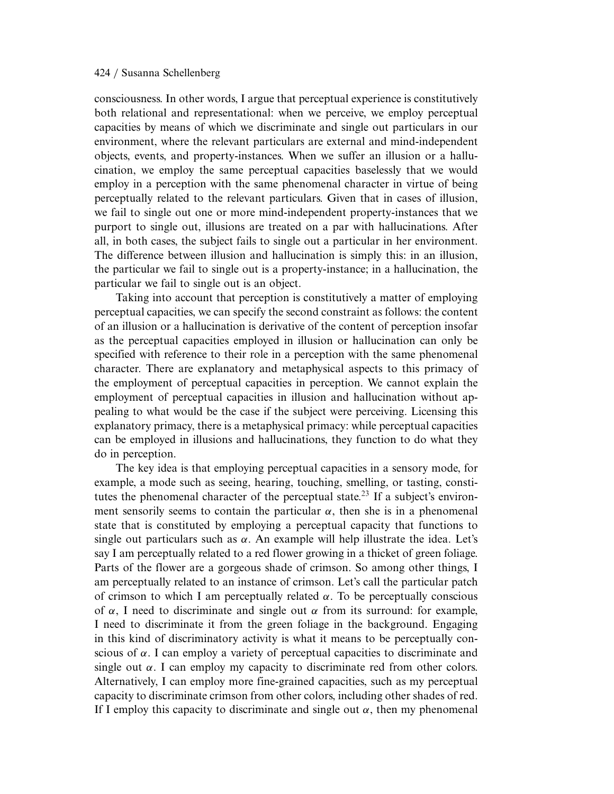consciousness. In other words, I argue that perceptual experience is constitutively both relational and representational: when we perceive, we employ perceptual capacities by means of which we discriminate and single out particulars in our environment, where the relevant particulars are external and mind-independent objects, events, and property-instances. When we suffer an illusion or a hallucination, we employ the same perceptual capacities baselessly that we would employ in a perception with the same phenomenal character in virtue of being perceptually related to the relevant particulars. Given that in cases of illusion, we fail to single out one or more mind-independent property-instances that we purport to single out, illusions are treated on a par with hallucinations. After all, in both cases, the subject fails to single out a particular in her environment. The difference between illusion and hallucination is simply this: in an illusion, the particular we fail to single out is a property-instance; in a hallucination, the particular we fail to single out is an object.

Taking into account that perception is constitutively a matter of employing perceptual capacities, we can specify the second constraint as follows: the content of an illusion or a hallucination is derivative of the content of perception insofar as the perceptual capacities employed in illusion or hallucination can only be specified with reference to their role in a perception with the same phenomenal character. There are explanatory and metaphysical aspects to this primacy of the employment of perceptual capacities in perception. We cannot explain the employment of perceptual capacities in illusion and hallucination without appealing to what would be the case if the subject were perceiving. Licensing this explanatory primacy, there is a metaphysical primacy: while perceptual capacities can be employed in illusions and hallucinations, they function to do what they do in perception.

The key idea is that employing perceptual capacities in a sensory mode, for example, a mode such as seeing, hearing, touching, smelling, or tasting, constitutes the phenomenal character of the perceptual state.<sup>23</sup> If a subject's environment sensorily seems to contain the particular  $\alpha$ , then she is in a phenomenal state that is constituted by employing a perceptual capacity that functions to single out particulars such as  $\alpha$ . An example will help illustrate the idea. Let's say I am perceptually related to a red flower growing in a thicket of green foliage. Parts of the flower are a gorgeous shade of crimson. So among other things, I am perceptually related to an instance of crimson. Let's call the particular patch of crimson to which I am perceptually related  $\alpha$ . To be perceptually conscious of  $\alpha$ , I need to discriminate and single out  $\alpha$  from its surround: for example, I need to discriminate it from the green foliage in the background. Engaging in this kind of discriminatory activity is what it means to be perceptually conscious of  $\alpha$ . I can employ a variety of perceptual capacities to discriminate and single out  $\alpha$ . I can employ my capacity to discriminate red from other colors. Alternatively, I can employ more fine-grained capacities, such as my perceptual capacity to discriminate crimson from other colors, including other shades of red. If I employ this capacity to discriminate and single out  $\alpha$ , then my phenomenal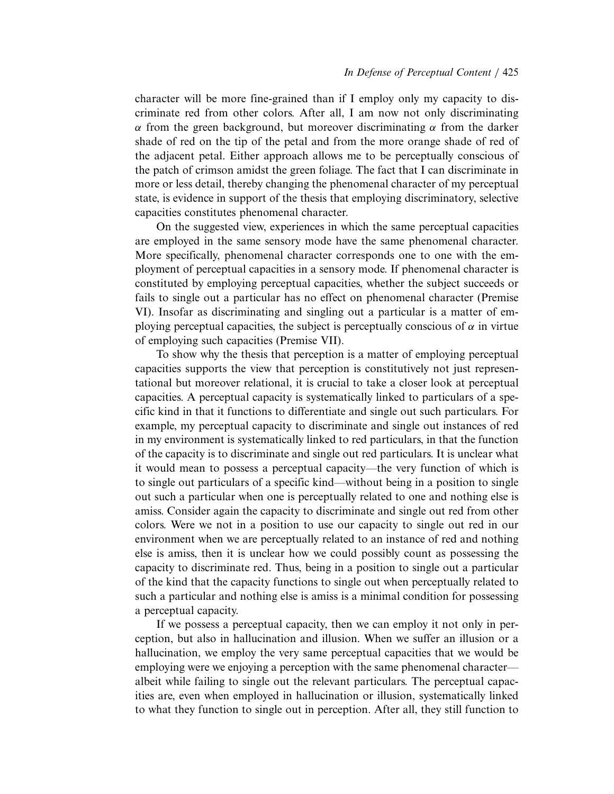character will be more fine-grained than if I employ only my capacity to discriminate red from other colors. After all, I am now not only discriminating α from the green background, but moreover discriminating α from the darker shade of red on the tip of the petal and from the more orange shade of red of the adjacent petal. Either approach allows me to be perceptually conscious of the patch of crimson amidst the green foliage. The fact that I can discriminate in more or less detail, thereby changing the phenomenal character of my perceptual state, is evidence in support of the thesis that employing discriminatory, selective capacities constitutes phenomenal character.

On the suggested view, experiences in which the same perceptual capacities are employed in the same sensory mode have the same phenomenal character. More specifically, phenomenal character corresponds one to one with the employment of perceptual capacities in a sensory mode. If phenomenal character is constituted by employing perceptual capacities, whether the subject succeeds or fails to single out a particular has no effect on phenomenal character (Premise VI). Insofar as discriminating and singling out a particular is a matter of employing perceptual capacities, the subject is perceptually conscious of  $\alpha$  in virtue of employing such capacities (Premise VII).

To show why the thesis that perception is a matter of employing perceptual capacities supports the view that perception is constitutively not just representational but moreover relational, it is crucial to take a closer look at perceptual capacities. A perceptual capacity is systematically linked to particulars of a specific kind in that it functions to differentiate and single out such particulars. For example, my perceptual capacity to discriminate and single out instances of red in my environment is systematically linked to red particulars, in that the function of the capacity is to discriminate and single out red particulars. It is unclear what it would mean to possess a perceptual capacity—the very function of which is to single out particulars of a specific kind—without being in a position to single out such a particular when one is perceptually related to one and nothing else is amiss. Consider again the capacity to discriminate and single out red from other colors. Were we not in a position to use our capacity to single out red in our environment when we are perceptually related to an instance of red and nothing else is amiss, then it is unclear how we could possibly count as possessing the capacity to discriminate red. Thus, being in a position to single out a particular of the kind that the capacity functions to single out when perceptually related to such a particular and nothing else is amiss is a minimal condition for possessing a perceptual capacity.

If we possess a perceptual capacity, then we can employ it not only in perception, but also in hallucination and illusion. When we suffer an illusion or a hallucination, we employ the very same perceptual capacities that we would be employing were we enjoying a perception with the same phenomenal character albeit while failing to single out the relevant particulars. The perceptual capacities are, even when employed in hallucination or illusion, systematically linked to what they function to single out in perception. After all, they still function to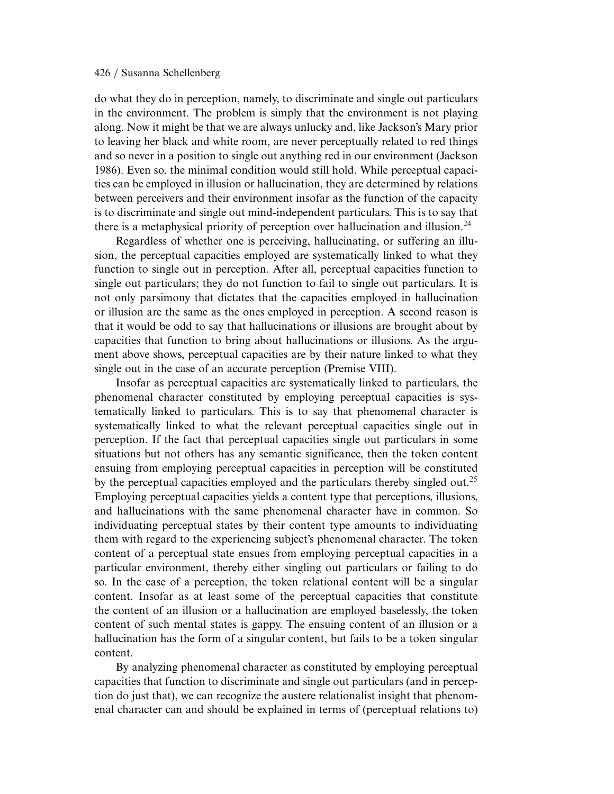do what they do in perception, namely, to discriminate and single out particulars in the environment. The problem is simply that the environment is not playing along. Now it might be that we are always unlucky and, like Jackson's Mary prior to leaving her black and white room, are never perceptually related to red things and so never in a position to single out anything red in our environment (Jackson 1986). Even so, the minimal condition would still hold. While perceptual capacities can be employed in illusion or hallucination, they are determined by relations between perceivers and their environment insofar as the function of the capacity is to discriminate and single out mind-independent particulars. This is to say that there is a metaphysical priority of perception over hallucination and illusion.<sup>24</sup>

Regardless of whether one is perceiving, hallucinating, or suffering an illusion, the perceptual capacities employed are systematically linked to what they function to single out in perception. After all, perceptual capacities function to single out particulars; they do not function to fail to single out particulars. It is not only parsimony that dictates that the capacities employed in hallucination or illusion are the same as the ones employed in perception. A second reason is that it would be odd to say that hallucinations or illusions are brought about by capacities that function to bring about hallucinations or illusions. As the argument above shows, perceptual capacities are by their nature linked to what they single out in the case of an accurate perception (Premise VIII).

Insofar as perceptual capacities are systematically linked to particulars, the phenomenal character constituted by employing perceptual capacities is systematically linked to particulars. This is to say that phenomenal character is systematically linked to what the relevant perceptual capacities single out in perception. If the fact that perceptual capacities single out particulars in some situations but not others has any semantic significance, then the token content ensuing from employing perceptual capacities in perception will be constituted by the perceptual capacities employed and the particulars thereby singled out.<sup>25</sup> Employing perceptual capacities yields a content type that perceptions, illusions, and hallucinations with the same phenomenal character have in common. So individuating perceptual states by their content type amounts to individuating them with regard to the experiencing subject's phenomenal character. The token content of a perceptual state ensues from employing perceptual capacities in a particular environment, thereby either singling out particulars or failing to do so. In the case of a perception, the token relational content will be a singular content. Insofar as at least some of the perceptual capacities that constitute the content of an illusion or a hallucination are employed baselessly, the token content of such mental states is gappy. The ensuing content of an illusion or a hallucination has the form of a singular content, but fails to be a token singular content.

By analyzing phenomenal character as constituted by employing perceptual capacities that function to discriminate and single out particulars (and in perception do just that), we can recognize the austere relationalist insight that phenomenal character can and should be explained in terms of (perceptual relations to)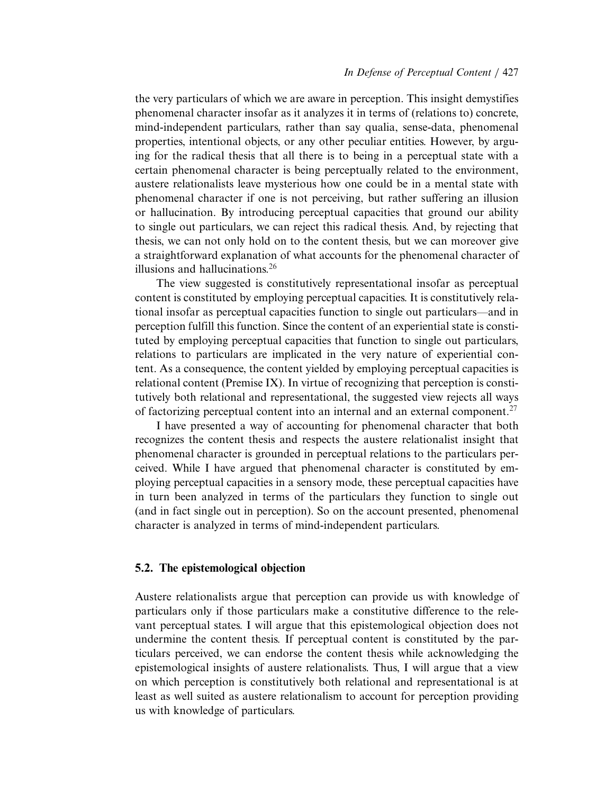### *In Defense of Perceptual Content /* 427

the very particulars of which we are aware in perception. This insight demystifies phenomenal character insofar as it analyzes it in terms of (relations to) concrete, mind-independent particulars, rather than say qualia, sense-data, phenomenal properties, intentional objects, or any other peculiar entities. However, by arguing for the radical thesis that all there is to being in a perceptual state with a certain phenomenal character is being perceptually related to the environment, austere relationalists leave mysterious how one could be in a mental state with phenomenal character if one is not perceiving, but rather suffering an illusion or hallucination. By introducing perceptual capacities that ground our ability to single out particulars, we can reject this radical thesis. And, by rejecting that thesis, we can not only hold on to the content thesis, but we can moreover give a straightforward explanation of what accounts for the phenomenal character of illusions and hallucinations.<sup>26</sup>

The view suggested is constitutively representational insofar as perceptual content is constituted by employing perceptual capacities. It is constitutively relational insofar as perceptual capacities function to single out particulars—and in perception fulfill this function. Since the content of an experiential state is constituted by employing perceptual capacities that function to single out particulars, relations to particulars are implicated in the very nature of experiential content. As a consequence, the content yielded by employing perceptual capacities is relational content (Premise IX). In virtue of recognizing that perception is constitutively both relational and representational, the suggested view rejects all ways of factorizing perceptual content into an internal and an external component.<sup>27</sup>

I have presented a way of accounting for phenomenal character that both recognizes the content thesis and respects the austere relationalist insight that phenomenal character is grounded in perceptual relations to the particulars perceived. While I have argued that phenomenal character is constituted by employing perceptual capacities in a sensory mode, these perceptual capacities have in turn been analyzed in terms of the particulars they function to single out (and in fact single out in perception). So on the account presented, phenomenal character is analyzed in terms of mind-independent particulars.

## **5.2. The epistemological objection**

Austere relationalists argue that perception can provide us with knowledge of particulars only if those particulars make a constitutive difference to the relevant perceptual states. I will argue that this epistemological objection does not undermine the content thesis. If perceptual content is constituted by the particulars perceived, we can endorse the content thesis while acknowledging the epistemological insights of austere relationalists. Thus, I will argue that a view on which perception is constitutively both relational and representational is at least as well suited as austere relationalism to account for perception providing us with knowledge of particulars.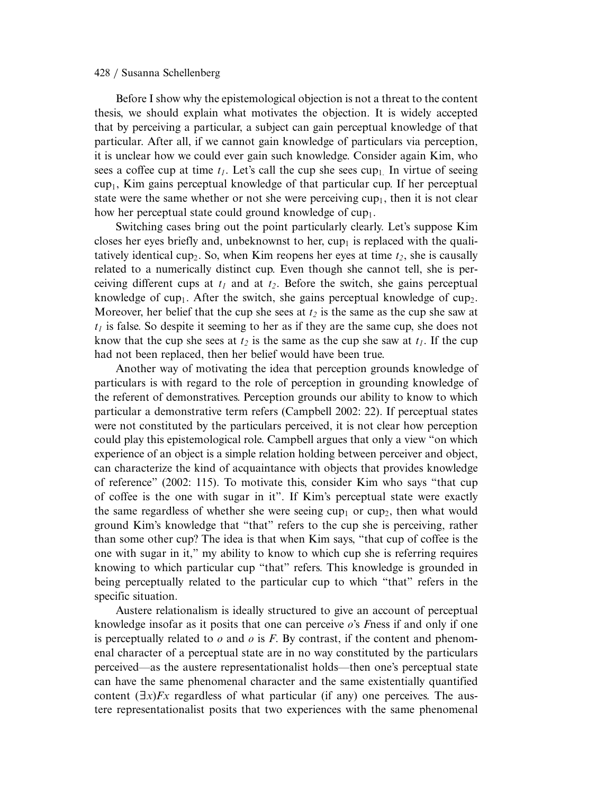Before I show why the epistemological objection is not a threat to the content thesis, we should explain what motivates the objection. It is widely accepted that by perceiving a particular, a subject can gain perceptual knowledge of that particular. After all, if we cannot gain knowledge of particulars via perception, it is unclear how we could ever gain such knowledge. Consider again Kim, who sees a coffee cup at time  $t_l$ . Let's call the cup she sees cup<sub>1</sub>. In virtue of seeing  $cup_1$ , Kim gains perceptual knowledge of that particular cup. If her perceptual state were the same whether or not she were perceiving  $cup_1$ , then it is not clear how her perceptual state could ground knowledge of  $cup_1$ .

Switching cases bring out the point particularly clearly. Let's suppose Kim closes her eyes briefly and, unbeknownst to her,  $cup_1$  is replaced with the qualitatively identical cup<sub>2</sub>. So, when Kim reopens her eyes at time  $t_2$ , she is causally related to a numerically distinct cup. Even though she cannot tell, she is perceiving different cups at  $t_1$  and at  $t_2$ . Before the switch, she gains perceptual knowledge of cup<sub>1</sub>. After the switch, she gains perceptual knowledge of cup<sub>2</sub>. Moreover, her belief that the cup she sees at  $t_2$  is the same as the cup she saw at  $t_1$  is false. So despite it seeming to her as if they are the same cup, she does not know that the cup she sees at  $t_2$  is the same as the cup she saw at  $t_1$ . If the cup had not been replaced, then her belief would have been true.

Another way of motivating the idea that perception grounds knowledge of particulars is with regard to the role of perception in grounding knowledge of the referent of demonstratives. Perception grounds our ability to know to which particular a demonstrative term refers (Campbell 2002: 22). If perceptual states were not constituted by the particulars perceived, it is not clear how perception could play this epistemological role. Campbell argues that only a view "on which experience of an object is a simple relation holding between perceiver and object, can characterize the kind of acquaintance with objects that provides knowledge of reference" (2002: 115). To motivate this, consider Kim who says "that cup of coffee is the one with sugar in it". If Kim's perceptual state were exactly the same regardless of whether she were seeing  $cup_1$  or  $cup_2$ , then what would ground Kim's knowledge that "that" refers to the cup she is perceiving, rather than some other cup? The idea is that when Kim says, "that cup of coffee is the one with sugar in it," my ability to know to which cup she is referring requires knowing to which particular cup "that" refers. This knowledge is grounded in being perceptually related to the particular cup to which "that" refers in the specific situation.

Austere relationalism is ideally structured to give an account of perceptual knowledge insofar as it posits that one can perceive *o*'s *F*ness if and only if one is perceptually related to  $\sigma$  and  $\sigma$  is  $F$ . By contrast, if the content and phenomenal character of a perceptual state are in no way constituted by the particulars perceived—as the austere representationalist holds—then one's perceptual state can have the same phenomenal character and the same existentially quantified content  $(\exists x)Fx$  regardless of what particular (if any) one perceives. The austere representationalist posits that two experiences with the same phenomenal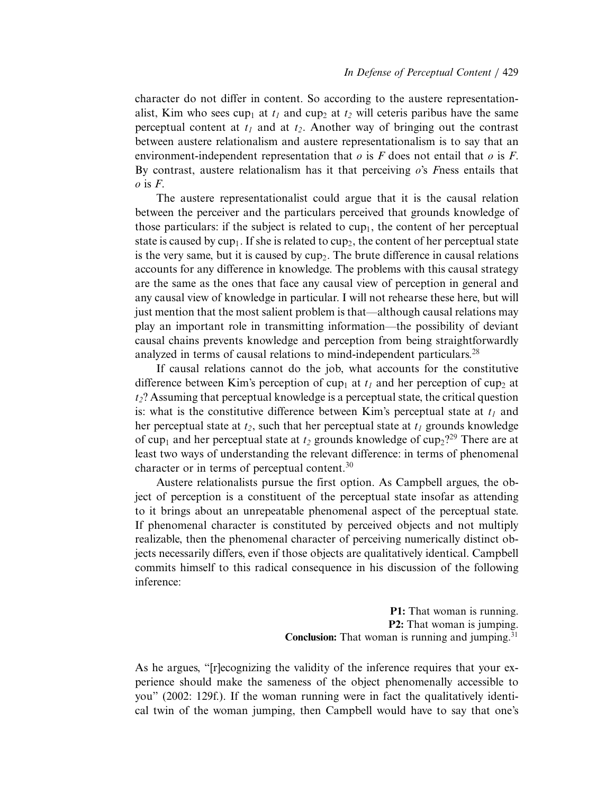character do not differ in content. So according to the austere representationalist, Kim who sees cup<sub>1</sub> at  $t_1$  and cup<sub>2</sub> at  $t_2$  will ceteris paribus have the same perceptual content at  $t_1$  and at  $t_2$ . Another way of bringing out the contrast between austere relationalism and austere representationalism is to say that an environment-independent representation that  $\sigma$  is  $F$  does not entail that  $\sigma$  is  $F$ . By contrast, austere relationalism has it that perceiving *o*'s *F*ness entails that *o* is *F*.

The austere representationalist could argue that it is the causal relation between the perceiver and the particulars perceived that grounds knowledge of those particulars: if the subject is related to  $cup_1$ , the content of her perceptual state is caused by  $cup_1$ . If she is related to  $cup_2$ , the content of her perceptual state is the very same, but it is caused by  $cup_2$ . The brute difference in causal relations accounts for any difference in knowledge. The problems with this causal strategy are the same as the ones that face any causal view of perception in general and any causal view of knowledge in particular. I will not rehearse these here, but will just mention that the most salient problem is that—although causal relations may play an important role in transmitting information—the possibility of deviant causal chains prevents knowledge and perception from being straightforwardly analyzed in terms of causal relations to mind-independent particulars.<sup>28</sup>

If causal relations cannot do the job, what accounts for the constitutive difference between Kim's perception of cup<sub>1</sub> at  $t_1$  and her perception of cup<sub>2</sub> at *t2*? Assuming that perceptual knowledge is a perceptual state, the critical question is: what is the constitutive difference between Kim's perceptual state at  $t_1$  and her perceptual state at  $t_2$ , such that her perceptual state at  $t_1$  grounds knowledge of cup<sub>1</sub> and her perceptual state at  $t_2$  grounds knowledge of cup<sub>2</sub>?<sup>29</sup> There are at least two ways of understanding the relevant difference: in terms of phenomenal character or in terms of perceptual content.30

Austere relationalists pursue the first option. As Campbell argues, the object of perception is a constituent of the perceptual state insofar as attending to it brings about an unrepeatable phenomenal aspect of the perceptual state. If phenomenal character is constituted by perceived objects and not multiply realizable, then the phenomenal character of perceiving numerically distinct objects necessarily differs, even if those objects are qualitatively identical. Campbell commits himself to this radical consequence in his discussion of the following inference:

> **P1:** That woman is running. **P2:** That woman is jumping. **Conclusion:** That woman is running and jumping.<sup>31</sup>

As he argues, "[r]ecognizing the validity of the inference requires that your experience should make the sameness of the object phenomenally accessible to you" (2002: 129f.). If the woman running were in fact the qualitatively identical twin of the woman jumping, then Campbell would have to say that one's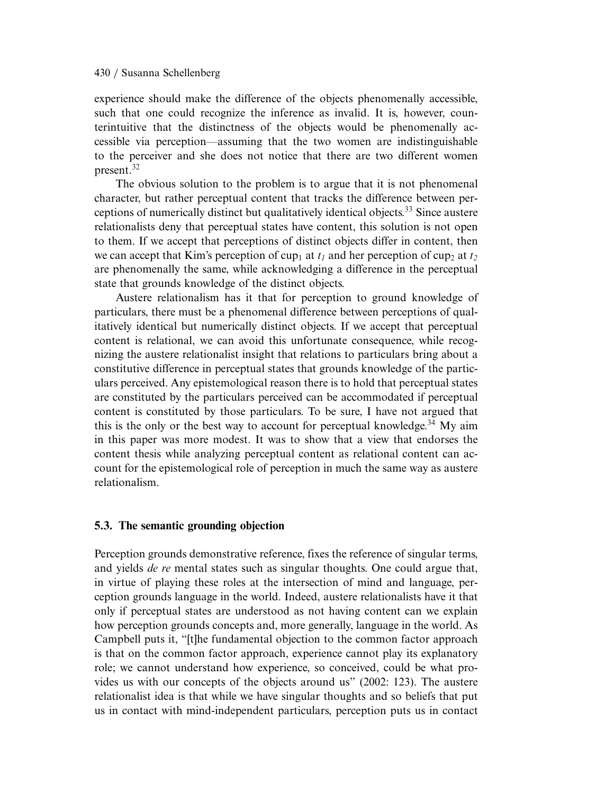experience should make the difference of the objects phenomenally accessible, such that one could recognize the inference as invalid. It is, however, counterintuitive that the distinctness of the objects would be phenomenally accessible via perception—assuming that the two women are indistinguishable to the perceiver and she does not notice that there are two different women present.<sup>32</sup>

The obvious solution to the problem is to argue that it is not phenomenal character, but rather perceptual content that tracks the difference between perceptions of numerically distinct but qualitatively identical objects.<sup>33</sup> Since austere relationalists deny that perceptual states have content, this solution is not open to them. If we accept that perceptions of distinct objects differ in content, then we can accept that Kim's perception of cup<sub>1</sub> at  $t_1$  and her perception of cup<sub>2</sub> at  $t_2$ are phenomenally the same, while acknowledging a difference in the perceptual state that grounds knowledge of the distinct objects.

Austere relationalism has it that for perception to ground knowledge of particulars, there must be a phenomenal difference between perceptions of qualitatively identical but numerically distinct objects. If we accept that perceptual content is relational, we can avoid this unfortunate consequence, while recognizing the austere relationalist insight that relations to particulars bring about a constitutive difference in perceptual states that grounds knowledge of the particulars perceived. Any epistemological reason there is to hold that perceptual states are constituted by the particulars perceived can be accommodated if perceptual content is constituted by those particulars. To be sure, I have not argued that this is the only or the best way to account for perceptual knowledge.<sup>34</sup> My aim in this paper was more modest. It was to show that a view that endorses the content thesis while analyzing perceptual content as relational content can account for the epistemological role of perception in much the same way as austere relationalism.

## **5.3. The semantic grounding objection**

Perception grounds demonstrative reference, fixes the reference of singular terms, and yields *de re* mental states such as singular thoughts. One could argue that, in virtue of playing these roles at the intersection of mind and language, perception grounds language in the world. Indeed, austere relationalists have it that only if perceptual states are understood as not having content can we explain how perception grounds concepts and, more generally, language in the world. As Campbell puts it, "[t]he fundamental objection to the common factor approach is that on the common factor approach, experience cannot play its explanatory role; we cannot understand how experience, so conceived, could be what provides us with our concepts of the objects around us" (2002: 123). The austere relationalist idea is that while we have singular thoughts and so beliefs that put us in contact with mind-independent particulars, perception puts us in contact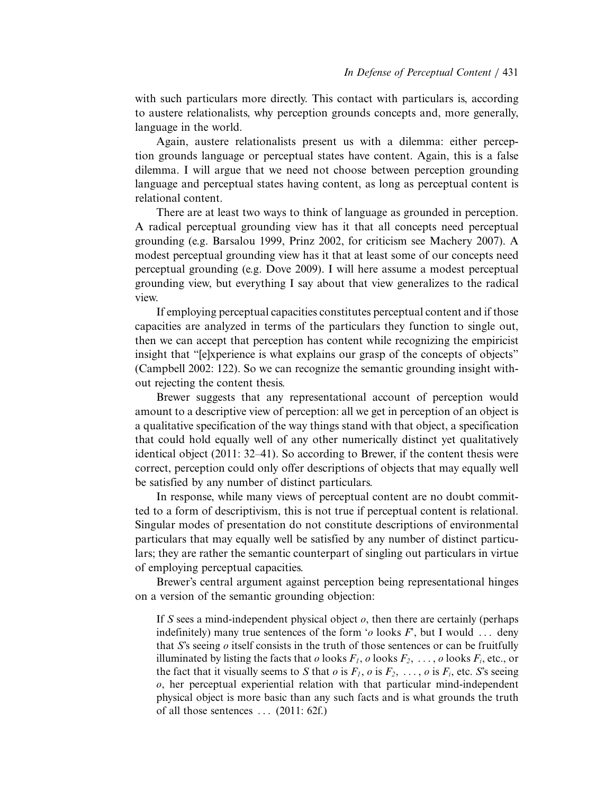with such particulars more directly. This contact with particulars is, according to austere relationalists, why perception grounds concepts and, more generally, language in the world.

Again, austere relationalists present us with a dilemma: either perception grounds language or perceptual states have content. Again, this is a false dilemma. I will argue that we need not choose between perception grounding language and perceptual states having content, as long as perceptual content is relational content.

There are at least two ways to think of language as grounded in perception. A radical perceptual grounding view has it that all concepts need perceptual grounding (e.g. Barsalou 1999, Prinz 2002, for criticism see Machery 2007). A modest perceptual grounding view has it that at least some of our concepts need perceptual grounding (e.g. Dove 2009). I will here assume a modest perceptual grounding view, but everything I say about that view generalizes to the radical view.

If employing perceptual capacities constitutes perceptual content and if those capacities are analyzed in terms of the particulars they function to single out, then we can accept that perception has content while recognizing the empiricist insight that "[e]xperience is what explains our grasp of the concepts of objects" (Campbell 2002: 122). So we can recognize the semantic grounding insight without rejecting the content thesis.

Brewer suggests that any representational account of perception would amount to a descriptive view of perception: all we get in perception of an object is a qualitative specification of the way things stand with that object, a specification that could hold equally well of any other numerically distinct yet qualitatively identical object (2011: 32–41). So according to Brewer, if the content thesis were correct, perception could only offer descriptions of objects that may equally well be satisfied by any number of distinct particulars.

In response, while many views of perceptual content are no doubt committed to a form of descriptivism, this is not true if perceptual content is relational. Singular modes of presentation do not constitute descriptions of environmental particulars that may equally well be satisfied by any number of distinct particulars; they are rather the semantic counterpart of singling out particulars in virtue of employing perceptual capacities.

Brewer's central argument against perception being representational hinges on a version of the semantic grounding objection:

If *S* sees a mind-independent physical object *o*, then there are certainly (perhaps indefinitely) many true sentences of the form  $\omega'$  looks  $F'$ , but I would ... deny that  $S$ 's seeing  $\sigma$  itself consists in the truth of those sentences or can be fruitfully illuminated by listing the facts that  $o$  looks  $F_1$ ,  $o$  looks  $F_2$ , ...,  $o$  looks  $F_i$ , etc., or the fact that it visually seems to *S* that *o* is  $F_1$ , *o* is  $F_2$ , ..., *o* is  $F_i$ , etc. *S*'s seeing *o*, her perceptual experiential relation with that particular mind-independent physical object is more basic than any such facts and is what grounds the truth of all those sentences  $\dots$  (2011: 62f.)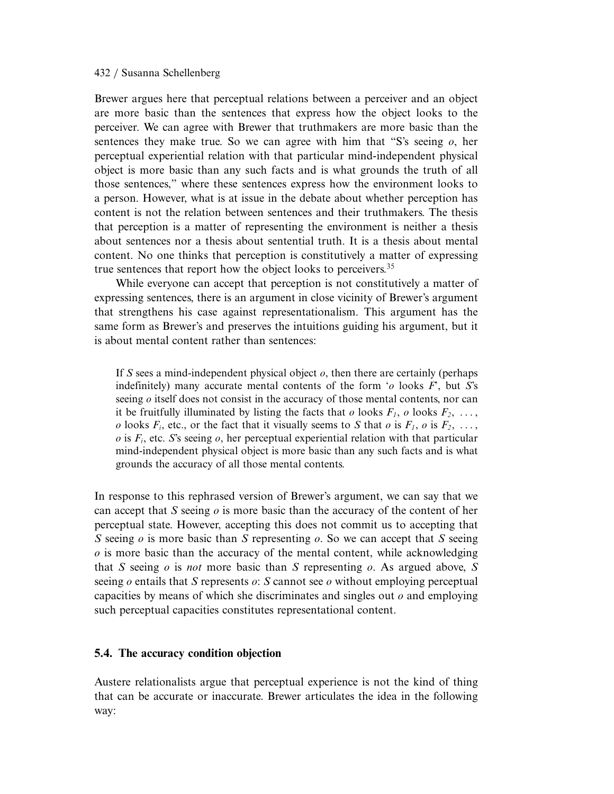Brewer argues here that perceptual relations between a perceiver and an object are more basic than the sentences that express how the object looks to the perceiver. We can agree with Brewer that truthmakers are more basic than the sentences they make true. So we can agree with him that "S's seeing *o*, her perceptual experiential relation with that particular mind-independent physical object is more basic than any such facts and is what grounds the truth of all those sentences," where these sentences express how the environment looks to a person. However, what is at issue in the debate about whether perception has content is not the relation between sentences and their truthmakers. The thesis that perception is a matter of representing the environment is neither a thesis about sentences nor a thesis about sentential truth. It is a thesis about mental content. No one thinks that perception is constitutively a matter of expressing true sentences that report how the object looks to perceivers.<sup>35</sup>

While everyone can accept that perception is not constitutively a matter of expressing sentences, there is an argument in close vicinity of Brewer's argument that strengthens his case against representationalism. This argument has the same form as Brewer's and preserves the intuitions guiding his argument, but it is about mental content rather than sentences:

If *S* sees a mind-independent physical object *o*, then there are certainly (perhaps indefinitely) many accurate mental contents of the form '*o* looks *F*', but *S*'s seeing *o* itself does not consist in the accuracy of those mental contents, nor can it be fruitfully illuminated by listing the facts that  $o$  looks  $F_1$ ,  $o$  looks  $F_2$ , ..., *o* looks  $F_i$ , etc., or the fact that it visually seems to *S* that *o* is  $F_1$ , *o* is  $F_2$ , ...,  $o$  is  $F_i$ , etc. *S*'s seeing  $o$ , her perceptual experiential relation with that particular mind-independent physical object is more basic than any such facts and is what grounds the accuracy of all those mental contents.

In response to this rephrased version of Brewer's argument, we can say that we can accept that *S* seeing *o* is more basic than the accuracy of the content of her perceptual state. However, accepting this does not commit us to accepting that *S* seeing *o* is more basic than *S* representing *o*. So we can accept that *S* seeing *o* is more basic than the accuracy of the mental content, while acknowledging that *S* seeing *o* is *not* more basic than *S* representing *o*. As argued above, *S* seeing *o* entails that *S* represents *o*: *S* cannot see *o* without employing perceptual capacities by means of which she discriminates and singles out *o* and employing such perceptual capacities constitutes representational content.

## **5.4. The accuracy condition objection**

Austere relationalists argue that perceptual experience is not the kind of thing that can be accurate or inaccurate. Brewer articulates the idea in the following way: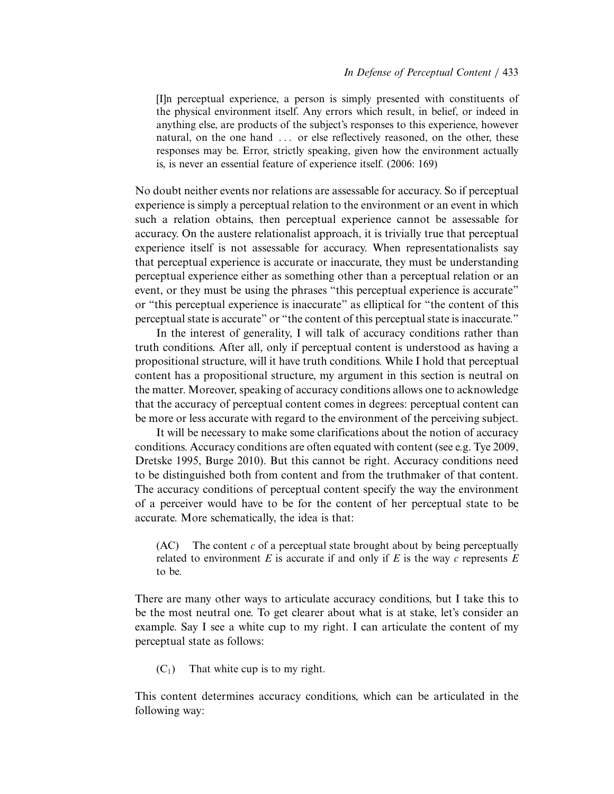[I]n perceptual experience, a person is simply presented with constituents of the physical environment itself. Any errors which result, in belief, or indeed in anything else, are products of the subject's responses to this experience, however natural, on the one hand ... or else reflectively reasoned, on the other, these responses may be. Error, strictly speaking, given how the environment actually is, is never an essential feature of experience itself. (2006: 169)

No doubt neither events nor relations are assessable for accuracy. So if perceptual experience is simply a perceptual relation to the environment or an event in which such a relation obtains, then perceptual experience cannot be assessable for accuracy. On the austere relationalist approach, it is trivially true that perceptual experience itself is not assessable for accuracy. When representationalists say that perceptual experience is accurate or inaccurate, they must be understanding perceptual experience either as something other than a perceptual relation or an event, or they must be using the phrases "this perceptual experience is accurate" or "this perceptual experience is inaccurate" as elliptical for "the content of this perceptual state is accurate" or "the content of this perceptual state is inaccurate."

In the interest of generality, I will talk of accuracy conditions rather than truth conditions. After all, only if perceptual content is understood as having a propositional structure, will it have truth conditions. While I hold that perceptual content has a propositional structure, my argument in this section is neutral on the matter. Moreover, speaking of accuracy conditions allows one to acknowledge that the accuracy of perceptual content comes in degrees: perceptual content can be more or less accurate with regard to the environment of the perceiving subject.

It will be necessary to make some clarifications about the notion of accuracy conditions. Accuracy conditions are often equated with content (see e.g. Tye 2009, Dretske 1995, Burge 2010). But this cannot be right. Accuracy conditions need to be distinguished both from content and from the truthmaker of that content. The accuracy conditions of perceptual content specify the way the environment of a perceiver would have to be for the content of her perceptual state to be accurate. More schematically, the idea is that:

(AC) The content *c* of a perceptual state brought about by being perceptually related to environment *E* is accurate if and only if *E* is the way *c* represents *E* to be.

There are many other ways to articulate accuracy conditions, but I take this to be the most neutral one. To get clearer about what is at stake, let's consider an example. Say I see a white cup to my right. I can articulate the content of my perceptual state as follows:

 $(C_1)$  That white cup is to my right.

This content determines accuracy conditions, which can be articulated in the following way: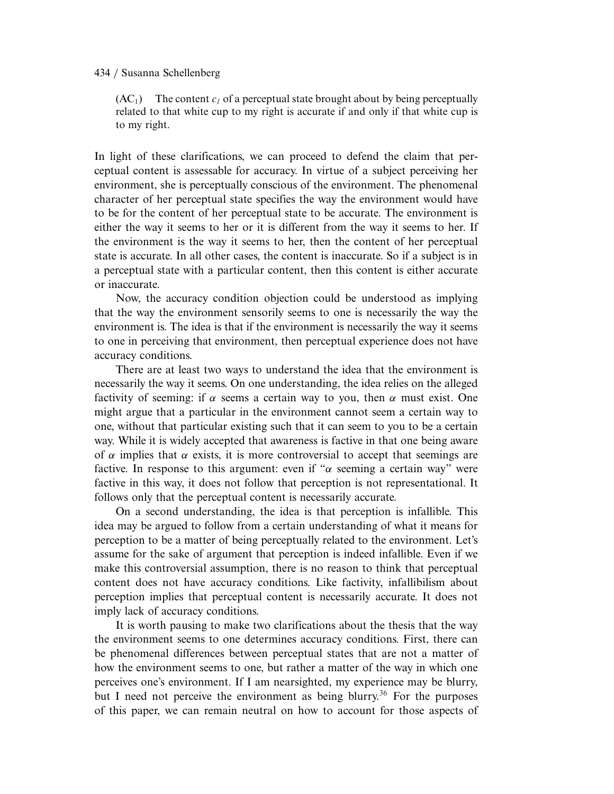$(AC<sub>1</sub>)$  The content  $c<sub>1</sub>$  of a perceptual state brought about by being perceptually related to that white cup to my right is accurate if and only if that white cup is to my right.

In light of these clarifications, we can proceed to defend the claim that perceptual content is assessable for accuracy. In virtue of a subject perceiving her environment, she is perceptually conscious of the environment. The phenomenal character of her perceptual state specifies the way the environment would have to be for the content of her perceptual state to be accurate. The environment is either the way it seems to her or it is different from the way it seems to her. If the environment is the way it seems to her, then the content of her perceptual state is accurate. In all other cases, the content is inaccurate. So if a subject is in a perceptual state with a particular content, then this content is either accurate or inaccurate.

Now, the accuracy condition objection could be understood as implying that the way the environment sensorily seems to one is necessarily the way the environment is. The idea is that if the environment is necessarily the way it seems to one in perceiving that environment, then perceptual experience does not have accuracy conditions.

There are at least two ways to understand the idea that the environment is necessarily the way it seems. On one understanding, the idea relies on the alleged factivity of seeming: if  $\alpha$  seems a certain way to you, then  $\alpha$  must exist. One might argue that a particular in the environment cannot seem a certain way to one, without that particular existing such that it can seem to you to be a certain way. While it is widely accepted that awareness is factive in that one being aware of  $\alpha$  implies that  $\alpha$  exists, it is more controversial to accept that seemings are factive. In response to this argument: even if " $\alpha$  seeming a certain way" were factive in this way, it does not follow that perception is not representational. It follows only that the perceptual content is necessarily accurate.

On a second understanding, the idea is that perception is infallible. This idea may be argued to follow from a certain understanding of what it means for perception to be a matter of being perceptually related to the environment. Let's assume for the sake of argument that perception is indeed infallible. Even if we make this controversial assumption, there is no reason to think that perceptual content does not have accuracy conditions. Like factivity, infallibilism about perception implies that perceptual content is necessarily accurate. It does not imply lack of accuracy conditions.

It is worth pausing to make two clarifications about the thesis that the way the environment seems to one determines accuracy conditions. First, there can be phenomenal differences between perceptual states that are not a matter of how the environment seems to one, but rather a matter of the way in which one perceives one's environment. If I am nearsighted, my experience may be blurry, but I need not perceive the environment as being blurry.<sup>36</sup> For the purposes of this paper, we can remain neutral on how to account for those aspects of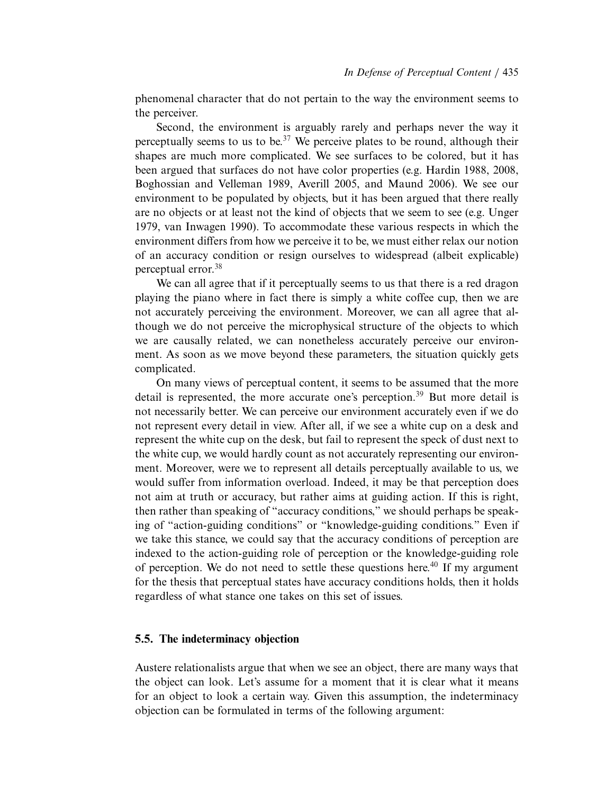phenomenal character that do not pertain to the way the environment seems to the perceiver.

Second, the environment is arguably rarely and perhaps never the way it perceptually seems to us to be.<sup>37</sup> We perceive plates to be round, although their shapes are much more complicated. We see surfaces to be colored, but it has been argued that surfaces do not have color properties (e.g. Hardin 1988, 2008, Boghossian and Velleman 1989, Averill 2005, and Maund 2006). We see our environment to be populated by objects, but it has been argued that there really are no objects or at least not the kind of objects that we seem to see (e.g. Unger 1979, van Inwagen 1990). To accommodate these various respects in which the environment differs from how we perceive it to be, we must either relax our notion of an accuracy condition or resign ourselves to widespread (albeit explicable) perceptual error.<sup>38</sup>

We can all agree that if it perceptually seems to us that there is a red dragon playing the piano where in fact there is simply a white coffee cup, then we are not accurately perceiving the environment. Moreover, we can all agree that although we do not perceive the microphysical structure of the objects to which we are causally related, we can nonetheless accurately perceive our environment. As soon as we move beyond these parameters, the situation quickly gets complicated.

On many views of perceptual content, it seems to be assumed that the more detail is represented, the more accurate one's perception.<sup>39</sup> But more detail is not necessarily better. We can perceive our environment accurately even if we do not represent every detail in view. After all, if we see a white cup on a desk and represent the white cup on the desk, but fail to represent the speck of dust next to the white cup, we would hardly count as not accurately representing our environment. Moreover, were we to represent all details perceptually available to us, we would suffer from information overload. Indeed, it may be that perception does not aim at truth or accuracy, but rather aims at guiding action. If this is right, then rather than speaking of "accuracy conditions," we should perhaps be speaking of "action-guiding conditions" or "knowledge-guiding conditions." Even if we take this stance, we could say that the accuracy conditions of perception are indexed to the action-guiding role of perception or the knowledge-guiding role of perception. We do not need to settle these questions here.<sup>40</sup> If my argument for the thesis that perceptual states have accuracy conditions holds, then it holds regardless of what stance one takes on this set of issues.

### **5.5. The indeterminacy objection**

Austere relationalists argue that when we see an object, there are many ways that the object can look. Let's assume for a moment that it is clear what it means for an object to look a certain way. Given this assumption, the indeterminacy objection can be formulated in terms of the following argument: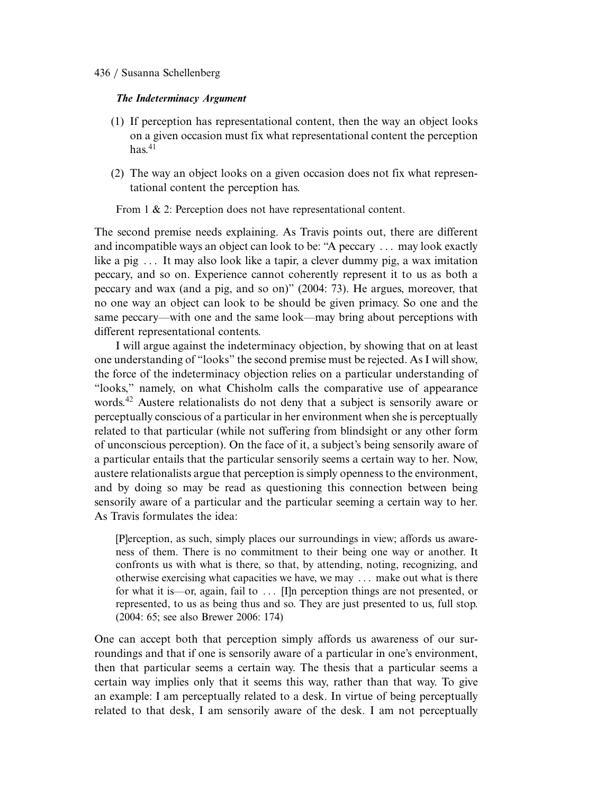### *The Indeterminacy Argument*

- (1) If perception has representational content, then the way an object looks on a given occasion must fix what representational content the perception has. $41$
- (2) The way an object looks on a given occasion does not fix what representational content the perception has.

From 1 & 2: Perception does not have representational content.

The second premise needs explaining. As Travis points out, there are different and incompatible ways an object can look to be: "A peccary . . . may look exactly like a pig  $\ldots$  It may also look like a tapir, a clever dummy pig, a wax imitation peccary, and so on. Experience cannot coherently represent it to us as both a peccary and wax (and a pig, and so on)" (2004: 73). He argues, moreover, that no one way an object can look to be should be given primacy. So one and the same peccary—with one and the same look—may bring about perceptions with different representational contents.

I will argue against the indeterminacy objection, by showing that on at least one understanding of "looks" the second premise must be rejected. As I will show, the force of the indeterminacy objection relies on a particular understanding of "looks," namely, on what Chisholm calls the comparative use of appearance words.<sup>42</sup> Austere relationalists do not deny that a subject is sensorily aware or perceptually conscious of a particular in her environment when she is perceptually related to that particular (while not suffering from blindsight or any other form of unconscious perception). On the face of it, a subject's being sensorily aware of a particular entails that the particular sensorily seems a certain way to her. Now, austere relationalists argue that perception is simply openness to the environment, and by doing so may be read as questioning this connection between being sensorily aware of a particular and the particular seeming a certain way to her. As Travis formulates the idea:

[P]erception, as such, simply places our surroundings in view; affords us awareness of them. There is no commitment to their being one way or another. It confronts us with what is there, so that, by attending, noting, recognizing, and otherwise exercising what capacities we have, we may . . . make out what is there for what it is—or, again, fail to . . . [I]n perception things are not presented, or represented, to us as being thus and so. They are just presented to us, full stop. (2004: 65; see also Brewer 2006: 174)

One can accept both that perception simply affords us awareness of our surroundings and that if one is sensorily aware of a particular in one's environment, then that particular seems a certain way. The thesis that a particular seems a certain way implies only that it seems this way, rather than that way. To give an example: I am perceptually related to a desk. In virtue of being perceptually related to that desk, I am sensorily aware of the desk. I am not perceptually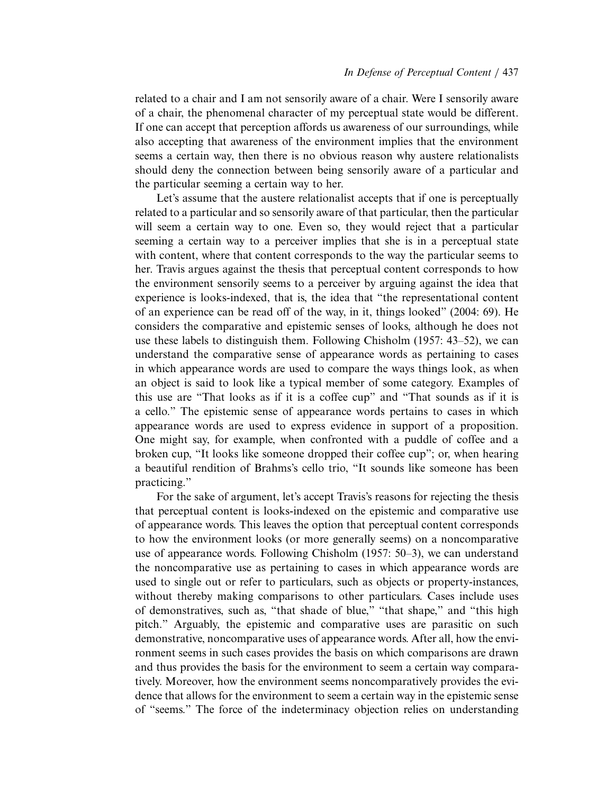related to a chair and I am not sensorily aware of a chair. Were I sensorily aware of a chair, the phenomenal character of my perceptual state would be different. If one can accept that perception affords us awareness of our surroundings, while also accepting that awareness of the environment implies that the environment seems a certain way, then there is no obvious reason why austere relationalists should deny the connection between being sensorily aware of a particular and the particular seeming a certain way to her.

Let's assume that the austere relationalist accepts that if one is perceptually related to a particular and so sensorily aware of that particular, then the particular will seem a certain way to one. Even so, they would reject that a particular seeming a certain way to a perceiver implies that she is in a perceptual state with content, where that content corresponds to the way the particular seems to her. Travis argues against the thesis that perceptual content corresponds to how the environment sensorily seems to a perceiver by arguing against the idea that experience is looks-indexed, that is, the idea that "the representational content of an experience can be read off of the way, in it, things looked" (2004: 69). He considers the comparative and epistemic senses of looks, although he does not use these labels to distinguish them. Following Chisholm (1957: 43–52), we can understand the comparative sense of appearance words as pertaining to cases in which appearance words are used to compare the ways things look, as when an object is said to look like a typical member of some category. Examples of this use are "That looks as if it is a coffee cup" and "That sounds as if it is a cello." The epistemic sense of appearance words pertains to cases in which appearance words are used to express evidence in support of a proposition. One might say, for example, when confronted with a puddle of coffee and a broken cup, "It looks like someone dropped their coffee cup"; or, when hearing a beautiful rendition of Brahms's cello trio, "It sounds like someone has been practicing."

For the sake of argument, let's accept Travis's reasons for rejecting the thesis that perceptual content is looks-indexed on the epistemic and comparative use of appearance words. This leaves the option that perceptual content corresponds to how the environment looks (or more generally seems) on a noncomparative use of appearance words. Following Chisholm (1957: 50–3), we can understand the noncomparative use as pertaining to cases in which appearance words are used to single out or refer to particulars, such as objects or property-instances, without thereby making comparisons to other particulars. Cases include uses of demonstratives, such as, "that shade of blue," "that shape," and "this high pitch." Arguably, the epistemic and comparative uses are parasitic on such demonstrative, noncomparative uses of appearance words. After all, how the environment seems in such cases provides the basis on which comparisons are drawn and thus provides the basis for the environment to seem a certain way comparatively. Moreover, how the environment seems noncomparatively provides the evidence that allows for the environment to seem a certain way in the epistemic sense of "seems." The force of the indeterminacy objection relies on understanding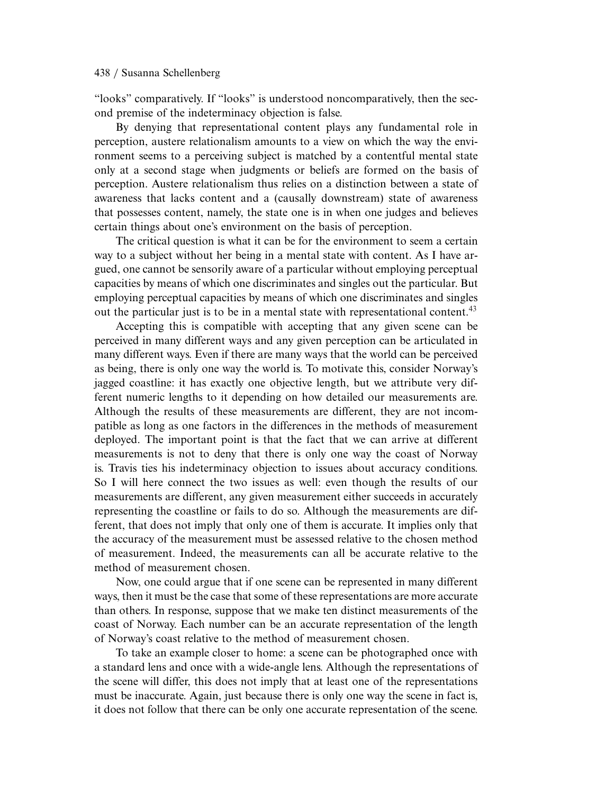"looks" comparatively. If "looks" is understood noncomparatively, then the second premise of the indeterminacy objection is false.

By denying that representational content plays any fundamental role in perception, austere relationalism amounts to a view on which the way the environment seems to a perceiving subject is matched by a contentful mental state only at a second stage when judgments or beliefs are formed on the basis of perception. Austere relationalism thus relies on a distinction between a state of awareness that lacks content and a (causally downstream) state of awareness that possesses content, namely, the state one is in when one judges and believes certain things about one's environment on the basis of perception.

The critical question is what it can be for the environment to seem a certain way to a subject without her being in a mental state with content. As I have argued, one cannot be sensorily aware of a particular without employing perceptual capacities by means of which one discriminates and singles out the particular. But employing perceptual capacities by means of which one discriminates and singles out the particular just is to be in a mental state with representational content.<sup>43</sup>

Accepting this is compatible with accepting that any given scene can be perceived in many different ways and any given perception can be articulated in many different ways. Even if there are many ways that the world can be perceived as being, there is only one way the world is. To motivate this, consider Norway's jagged coastline: it has exactly one objective length, but we attribute very different numeric lengths to it depending on how detailed our measurements are. Although the results of these measurements are different, they are not incompatible as long as one factors in the differences in the methods of measurement deployed. The important point is that the fact that we can arrive at different measurements is not to deny that there is only one way the coast of Norway is. Travis ties his indeterminacy objection to issues about accuracy conditions. So I will here connect the two issues as well: even though the results of our measurements are different, any given measurement either succeeds in accurately representing the coastline or fails to do so. Although the measurements are different, that does not imply that only one of them is accurate. It implies only that the accuracy of the measurement must be assessed relative to the chosen method of measurement. Indeed, the measurements can all be accurate relative to the method of measurement chosen.

Now, one could argue that if one scene can be represented in many different ways, then it must be the case that some of these representations are more accurate than others. In response, suppose that we make ten distinct measurements of the coast of Norway. Each number can be an accurate representation of the length of Norway's coast relative to the method of measurement chosen.

To take an example closer to home: a scene can be photographed once with a standard lens and once with a wide-angle lens. Although the representations of the scene will differ, this does not imply that at least one of the representations must be inaccurate. Again, just because there is only one way the scene in fact is, it does not follow that there can be only one accurate representation of the scene.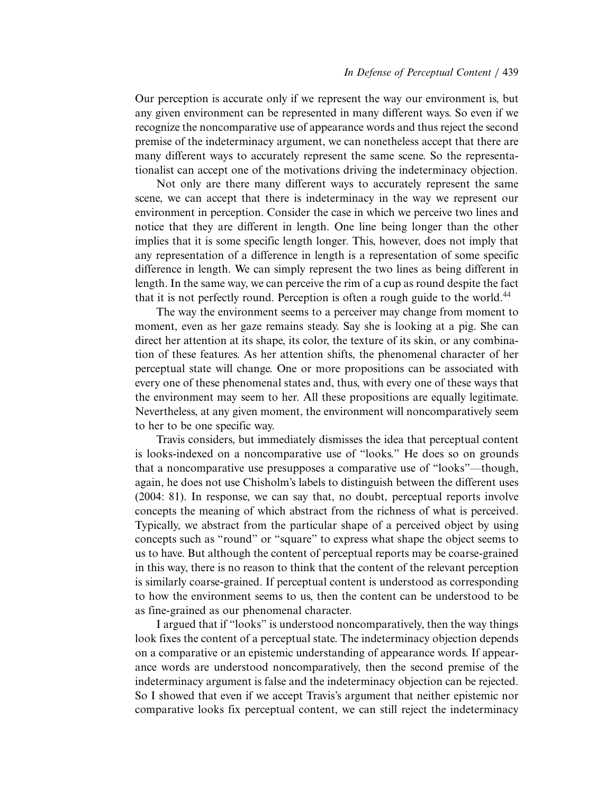## *In Defense of Perceptual Content /* 439

Our perception is accurate only if we represent the way our environment is, but any given environment can be represented in many different ways. So even if we recognize the noncomparative use of appearance words and thus reject the second premise of the indeterminacy argument, we can nonetheless accept that there are many different ways to accurately represent the same scene. So the representationalist can accept one of the motivations driving the indeterminacy objection.

Not only are there many different ways to accurately represent the same scene, we can accept that there is indeterminacy in the way we represent our environment in perception. Consider the case in which we perceive two lines and notice that they are different in length. One line being longer than the other implies that it is some specific length longer. This, however, does not imply that any representation of a difference in length is a representation of some specific difference in length. We can simply represent the two lines as being different in length. In the same way, we can perceive the rim of a cup as round despite the fact that it is not perfectly round. Perception is often a rough guide to the world.<sup>44</sup>

The way the environment seems to a perceiver may change from moment to moment, even as her gaze remains steady. Say she is looking at a pig. She can direct her attention at its shape, its color, the texture of its skin, or any combination of these features. As her attention shifts, the phenomenal character of her perceptual state will change. One or more propositions can be associated with every one of these phenomenal states and, thus, with every one of these ways that the environment may seem to her. All these propositions are equally legitimate. Nevertheless, at any given moment, the environment will noncomparatively seem to her to be one specific way.

Travis considers, but immediately dismisses the idea that perceptual content is looks-indexed on a noncomparative use of "looks." He does so on grounds that a noncomparative use presupposes a comparative use of "looks"—though, again, he does not use Chisholm's labels to distinguish between the different uses (2004: 81). In response, we can say that, no doubt, perceptual reports involve concepts the meaning of which abstract from the richness of what is perceived. Typically, we abstract from the particular shape of a perceived object by using concepts such as "round" or "square" to express what shape the object seems to us to have. But although the content of perceptual reports may be coarse-grained in this way, there is no reason to think that the content of the relevant perception is similarly coarse-grained. If perceptual content is understood as corresponding to how the environment seems to us, then the content can be understood to be as fine-grained as our phenomenal character.

I argued that if "looks" is understood noncomparatively, then the way things look fixes the content of a perceptual state. The indeterminacy objection depends on a comparative or an epistemic understanding of appearance words. If appearance words are understood noncomparatively, then the second premise of the indeterminacy argument is false and the indeterminacy objection can be rejected. So I showed that even if we accept Travis's argument that neither epistemic nor comparative looks fix perceptual content, we can still reject the indeterminacy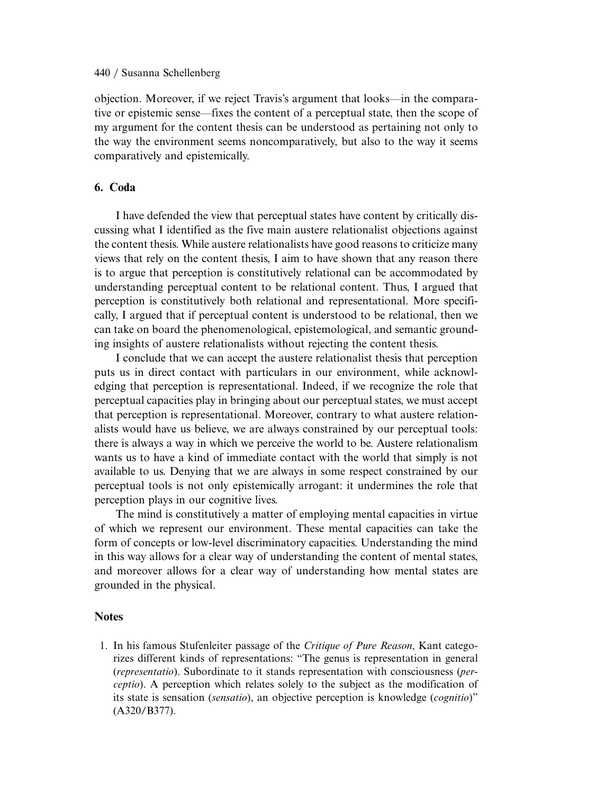objection. Moreover, if we reject Travis's argument that looks—in the comparative or epistemic sense—fixes the content of a perceptual state, then the scope of my argument for the content thesis can be understood as pertaining not only to the way the environment seems noncomparatively, but also to the way it seems comparatively and epistemically.

## **6. Coda**

I have defended the view that perceptual states have content by critically discussing what I identified as the five main austere relationalist objections against the content thesis. While austere relationalists have good reasons to criticize many views that rely on the content thesis, I aim to have shown that any reason there is to argue that perception is constitutively relational can be accommodated by understanding perceptual content to be relational content. Thus, I argued that perception is constitutively both relational and representational. More specifically, I argued that if perceptual content is understood to be relational, then we can take on board the phenomenological, epistemological, and semantic grounding insights of austere relationalists without rejecting the content thesis.

I conclude that we can accept the austere relationalist thesis that perception puts us in direct contact with particulars in our environment, while acknowledging that perception is representational. Indeed, if we recognize the role that perceptual capacities play in bringing about our perceptual states, we must accept that perception is representational. Moreover, contrary to what austere relationalists would have us believe, we are always constrained by our perceptual tools: there is always a way in which we perceive the world to be. Austere relationalism wants us to have a kind of immediate contact with the world that simply is not available to us. Denying that we are always in some respect constrained by our perceptual tools is not only epistemically arrogant: it undermines the role that perception plays in our cognitive lives.

The mind is constitutively a matter of employing mental capacities in virtue of which we represent our environment. These mental capacities can take the form of concepts or low-level discriminatory capacities. Understanding the mind in this way allows for a clear way of understanding the content of mental states, and moreover allows for a clear way of understanding how mental states are grounded in the physical.

# **Notes**

1. In his famous Stufenleiter passage of the *Critique of Pure Reason*, Kant categorizes different kinds of representations: "The genus is representation in general (*representatio*). Subordinate to it stands representation with consciousness (*perceptio*). A perception which relates solely to the subject as the modification of its state is sensation (*sensatio*), an objective perception is knowledge (*cognitio*)" (A320/B377).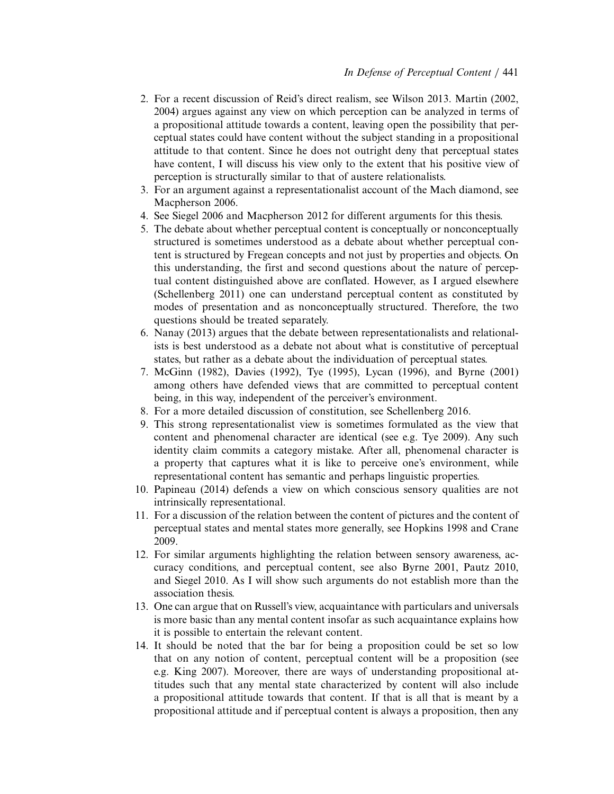- 2. For a recent discussion of Reid's direct realism, see Wilson 2013. Martin (2002, 2004) argues against any view on which perception can be analyzed in terms of a propositional attitude towards a content, leaving open the possibility that perceptual states could have content without the subject standing in a propositional attitude to that content. Since he does not outright deny that perceptual states have content, I will discuss his view only to the extent that his positive view of perception is structurally similar to that of austere relationalists.
- 3. For an argument against a representationalist account of the Mach diamond, see Macpherson 2006.
- 4. See Siegel 2006 and Macpherson 2012 for different arguments for this thesis.
- 5. The debate about whether perceptual content is conceptually or nonconceptually structured is sometimes understood as a debate about whether perceptual content is structured by Fregean concepts and not just by properties and objects. On this understanding, the first and second questions about the nature of perceptual content distinguished above are conflated. However, as I argued elsewhere (Schellenberg 2011) one can understand perceptual content as constituted by modes of presentation and as nonconceptually structured. Therefore, the two questions should be treated separately.
- 6. Nanay (2013) argues that the debate between representationalists and relationalists is best understood as a debate not about what is constitutive of perceptual states, but rather as a debate about the individuation of perceptual states.
- 7. McGinn (1982), Davies (1992), Tye (1995), Lycan (1996), and Byrne (2001) among others have defended views that are committed to perceptual content being, in this way, independent of the perceiver's environment.
- 8. For a more detailed discussion of constitution, see Schellenberg 2016.
- 9. This strong representationalist view is sometimes formulated as the view that content and phenomenal character are identical (see e.g. Tye 2009). Any such identity claim commits a category mistake. After all, phenomenal character is a property that captures what it is like to perceive one's environment, while representational content has semantic and perhaps linguistic properties.
- 10. Papineau (2014) defends a view on which conscious sensory qualities are not intrinsically representational.
- 11. For a discussion of the relation between the content of pictures and the content of perceptual states and mental states more generally, see Hopkins 1998 and Crane 2009.
- 12. For similar arguments highlighting the relation between sensory awareness, accuracy conditions, and perceptual content, see also Byrne 2001, Pautz 2010, and Siegel 2010. As I will show such arguments do not establish more than the association thesis.
- 13. One can argue that on Russell's view, acquaintance with particulars and universals is more basic than any mental content insofar as such acquaintance explains how it is possible to entertain the relevant content.
- 14. It should be noted that the bar for being a proposition could be set so low that on any notion of content, perceptual content will be a proposition (see e.g. King 2007). Moreover, there are ways of understanding propositional attitudes such that any mental state characterized by content will also include a propositional attitude towards that content. If that is all that is meant by a propositional attitude and if perceptual content is always a proposition, then any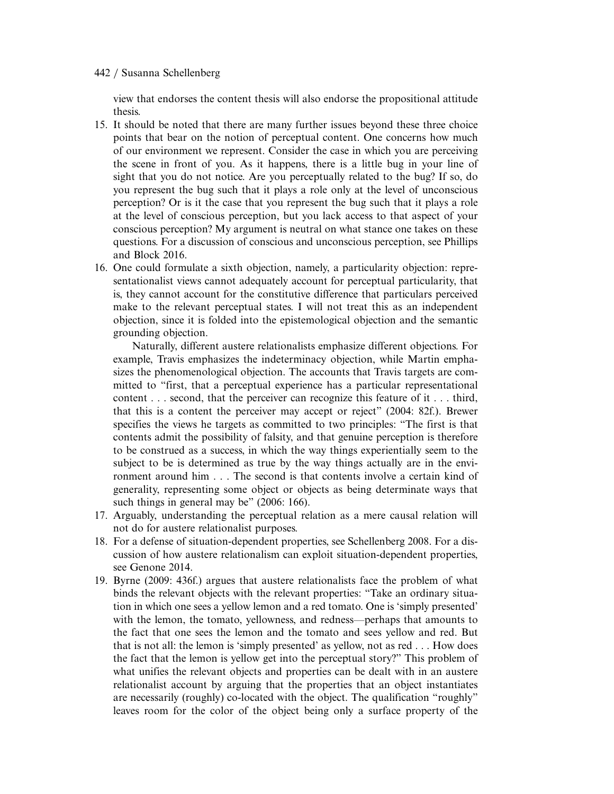view that endorses the content thesis will also endorse the propositional attitude thesis.

- 15. It should be noted that there are many further issues beyond these three choice points that bear on the notion of perceptual content. One concerns how much of our environment we represent. Consider the case in which you are perceiving the scene in front of you. As it happens, there is a little bug in your line of sight that you do not notice. Are you perceptually related to the bug? If so, do you represent the bug such that it plays a role only at the level of unconscious perception? Or is it the case that you represent the bug such that it plays a role at the level of conscious perception, but you lack access to that aspect of your conscious perception? My argument is neutral on what stance one takes on these questions. For a discussion of conscious and unconscious perception, see Phillips and Block 2016.
- 16. One could formulate a sixth objection, namely, a particularity objection: representationalist views cannot adequately account for perceptual particularity, that is, they cannot account for the constitutive difference that particulars perceived make to the relevant perceptual states. I will not treat this as an independent objection, since it is folded into the epistemological objection and the semantic grounding objection.

Naturally, different austere relationalists emphasize different objections. For example, Travis emphasizes the indeterminacy objection, while Martin emphasizes the phenomenological objection. The accounts that Travis targets are committed to "first, that a perceptual experience has a particular representational content . . . second, that the perceiver can recognize this feature of it . . . third, that this is a content the perceiver may accept or reject" (2004: 82f.). Brewer specifies the views he targets as committed to two principles: "The first is that contents admit the possibility of falsity, and that genuine perception is therefore to be construed as a success, in which the way things experientially seem to the subject to be is determined as true by the way things actually are in the environment around him . . . The second is that contents involve a certain kind of generality, representing some object or objects as being determinate ways that such things in general may be" (2006: 166).

- 17. Arguably, understanding the perceptual relation as a mere causal relation will not do for austere relationalist purposes.
- 18. For a defense of situation-dependent properties, see Schellenberg 2008. For a discussion of how austere relationalism can exploit situation-dependent properties, see Genone 2014.
- 19. Byrne (2009: 436f.) argues that austere relationalists face the problem of what binds the relevant objects with the relevant properties: "Take an ordinary situation in which one sees a yellow lemon and a red tomato. One is 'simply presented' with the lemon, the tomato, yellowness, and redness—perhaps that amounts to the fact that one sees the lemon and the tomato and sees yellow and red. But that is not all: the lemon is 'simply presented' as yellow, not as red . . . How does the fact that the lemon is yellow get into the perceptual story?" This problem of what unifies the relevant objects and properties can be dealt with in an austere relationalist account by arguing that the properties that an object instantiates are necessarily (roughly) co-located with the object. The qualification "roughly" leaves room for the color of the object being only a surface property of the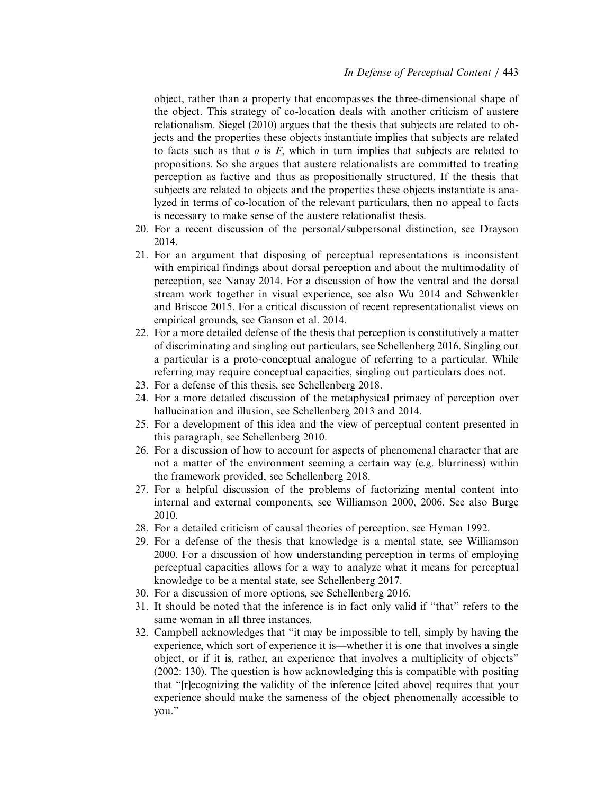object, rather than a property that encompasses the three-dimensional shape of the object. This strategy of co-location deals with another criticism of austere relationalism. Siegel (2010) argues that the thesis that subjects are related to objects and the properties these objects instantiate implies that subjects are related to facts such as that  $\sigma$  is  $F$ , which in turn implies that subjects are related to propositions. So she argues that austere relationalists are committed to treating perception as factive and thus as propositionally structured. If the thesis that subjects are related to objects and the properties these objects instantiate is analyzed in terms of co-location of the relevant particulars, then no appeal to facts is necessary to make sense of the austere relationalist thesis.

- 20. For a recent discussion of the personal/subpersonal distinction, see Drayson 2014.
- 21. For an argument that disposing of perceptual representations is inconsistent with empirical findings about dorsal perception and about the multimodality of perception, see Nanay 2014. For a discussion of how the ventral and the dorsal stream work together in visual experience, see also Wu 2014 and Schwenkler and Briscoe 2015. For a critical discussion of recent representationalist views on empirical grounds, see Ganson et al. 2014.
- 22. For a more detailed defense of the thesis that perception is constitutively a matter of discriminating and singling out particulars, see Schellenberg 2016. Singling out a particular is a proto-conceptual analogue of referring to a particular. While referring may require conceptual capacities, singling out particulars does not.
- 23. For a defense of this thesis, see Schellenberg 2018.
- 24. For a more detailed discussion of the metaphysical primacy of perception over hallucination and illusion, see Schellenberg 2013 and 2014.
- 25. For a development of this idea and the view of perceptual content presented in this paragraph, see Schellenberg 2010.
- 26. For a discussion of how to account for aspects of phenomenal character that are not a matter of the environment seeming a certain way (e.g. blurriness) within the framework provided, see Schellenberg 2018.
- 27. For a helpful discussion of the problems of factorizing mental content into internal and external components, see Williamson 2000, 2006. See also Burge 2010.
- 28. For a detailed criticism of causal theories of perception, see Hyman 1992.
- 29. For a defense of the thesis that knowledge is a mental state, see Williamson 2000. For a discussion of how understanding perception in terms of employing perceptual capacities allows for a way to analyze what it means for perceptual knowledge to be a mental state, see Schellenberg 2017.
- 30. For a discussion of more options, see Schellenberg 2016.
- 31. It should be noted that the inference is in fact only valid if "that" refers to the same woman in all three instances.
- 32. Campbell acknowledges that "it may be impossible to tell, simply by having the experience, which sort of experience it is—whether it is one that involves a single object, or if it is, rather, an experience that involves a multiplicity of objects" (2002: 130). The question is how acknowledging this is compatible with positing that "[r]ecognizing the validity of the inference [cited above] requires that your experience should make the sameness of the object phenomenally accessible to you."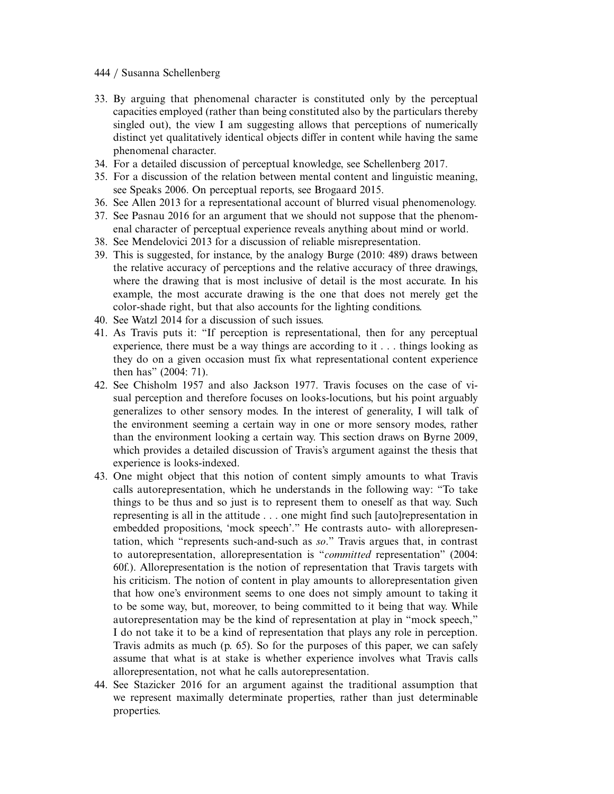- 444 */* Susanna Schellenberg
- 33. By arguing that phenomenal character is constituted only by the perceptual capacities employed (rather than being constituted also by the particulars thereby singled out), the view I am suggesting allows that perceptions of numerically distinct yet qualitatively identical objects differ in content while having the same phenomenal character.
- 34. For a detailed discussion of perceptual knowledge, see Schellenberg 2017.
- 35. For a discussion of the relation between mental content and linguistic meaning, see Speaks 2006. On perceptual reports, see Brogaard 2015.
- 36. See Allen 2013 for a representational account of blurred visual phenomenology.
- 37. See Pasnau 2016 for an argument that we should not suppose that the phenomenal character of perceptual experience reveals anything about mind or world.
- 38. See Mendelovici 2013 for a discussion of reliable misrepresentation.
- 39. This is suggested, for instance, by the analogy Burge (2010: 489) draws between the relative accuracy of perceptions and the relative accuracy of three drawings, where the drawing that is most inclusive of detail is the most accurate. In his example, the most accurate drawing is the one that does not merely get the color-shade right, but that also accounts for the lighting conditions.
- 40. See Watzl 2014 for a discussion of such issues.
- 41. As Travis puts it: "If perception is representational, then for any perceptual experience, there must be a way things are according to it . . . things looking as they do on a given occasion must fix what representational content experience then has" (2004: 71).
- 42. See Chisholm 1957 and also Jackson 1977. Travis focuses on the case of visual perception and therefore focuses on looks-locutions, but his point arguably generalizes to other sensory modes. In the interest of generality, I will talk of the environment seeming a certain way in one or more sensory modes, rather than the environment looking a certain way. This section draws on Byrne 2009, which provides a detailed discussion of Travis's argument against the thesis that experience is looks-indexed.
- 43. One might object that this notion of content simply amounts to what Travis calls autorepresentation, which he understands in the following way: "To take things to be thus and so just is to represent them to oneself as that way. Such representing is all in the attitude . . . one might find such [auto]representation in embedded propositions, 'mock speech'." He contrasts auto- with allorepresentation, which "represents such-and-such as *so*." Travis argues that, in contrast to autorepresentation, allorepresentation is "*committed* representation" (2004: 60f.). Allorepresentation is the notion of representation that Travis targets with his criticism. The notion of content in play amounts to allorepresentation given that how one's environment seems to one does not simply amount to taking it to be some way, but, moreover, to being committed to it being that way. While autorepresentation may be the kind of representation at play in "mock speech," I do not take it to be a kind of representation that plays any role in perception. Travis admits as much (p. 65). So for the purposes of this paper, we can safely assume that what is at stake is whether experience involves what Travis calls allorepresentation, not what he calls autorepresentation.
- 44. See Stazicker 2016 for an argument against the traditional assumption that we represent maximally determinate properties, rather than just determinable properties.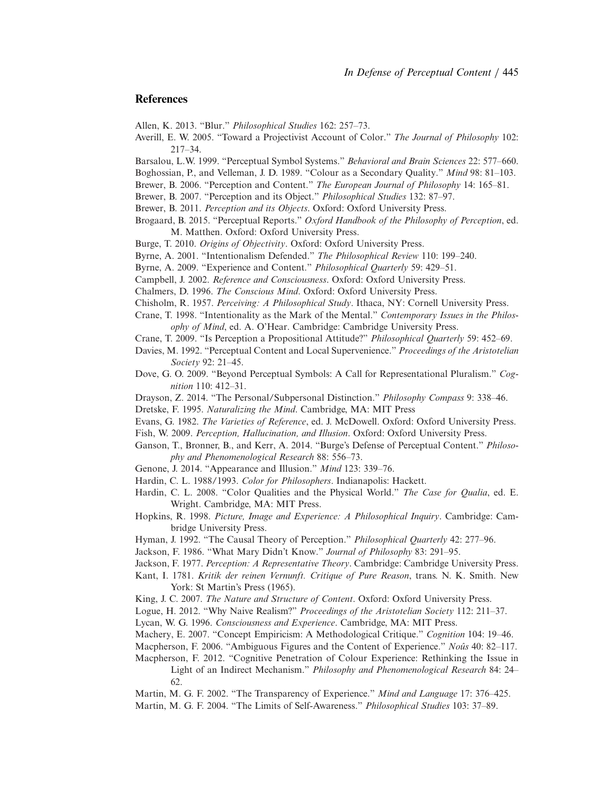## **References**

Allen, K. 2013. "Blur." *Philosophical Studies* 162: 257–73.

- Averill, E. W. 2005. "Toward a Projectivist Account of Color." *The Journal of Philosophy* 102: 217–34.
- Barsalou, L.W. 1999. "Perceptual Symbol Systems." *Behavioral and Brain Sciences* 22: 577–660.
- Boghossian, P., and Velleman, J. D. 1989. "Colour as a Secondary Quality." *Mind* 98: 81–103.
- Brewer, B. 2006. "Perception and Content." *The European Journal of Philosophy* 14: 165–81.
- Brewer, B. 2007. "Perception and its Object." *Philosophical Studies* 132: 87–97.
- Brewer, B. 2011. *Perception and its Objects*. Oxford: Oxford University Press.
- Brogaard, B. 2015. "Perceptual Reports." *Oxford Handbook of the Philosophy of Perception*, ed. M. Matthen. Oxford: Oxford University Press.
- Burge, T. 2010. *Origins of Objectivity*. Oxford: Oxford University Press.
- Byrne, A. 2001. "Intentionalism Defended." *The Philosophical Review* 110: 199–240.
- Byrne, A. 2009. "Experience and Content." *Philosophical Quarterly* 59: 429–51.
- Campbell, J. 2002. *Reference and Consciousness*. Oxford: Oxford University Press.
- Chalmers, D. 1996. *The Conscious Mind*. Oxford: Oxford University Press.
- Chisholm, R. 1957. *Perceiving: A Philosophical Study*. Ithaca, NY: Cornell University Press.
- Crane, T. 1998. "Intentionality as the Mark of the Mental." *Contemporary Issues in the Philosophy of Mind*, ed. A. O'Hear. Cambridge: Cambridge University Press.
- Crane, T. 2009. "Is Perception a Propositional Attitude?" *Philosophical Quarterly* 59: 452–69.
- Davies, M. 1992. "Perceptual Content and Local Supervenience." *Proceedings of the Aristotelian Society* 92: 21–45.
- Dove, G. O. 2009. "Beyond Perceptual Symbols: A Call for Representational Pluralism." *Cognition* 110: 412–31.
- Drayson, Z. 2014. "The Personal/Subpersonal Distinction." *Philosophy Compass* 9: 338–46.
- Dretske, F. 1995. *Naturalizing the Mind*. Cambridge, MA: MIT Press
- Evans, G. 1982. *The Varieties of Reference*, ed. J. McDowell. Oxford: Oxford University Press.
- Fish, W. 2009. *Perception, Hallucination, and Illusion*. Oxford: Oxford University Press.
- Ganson, T., Bronner, B., and Kerr, A. 2014. "Burge's Defense of Perceptual Content." *Philosophy and Phenomenological Research* 88: 556–73.
- Genone, J. 2014. "Appearance and Illusion." *Mind* 123: 339–76.
- Hardin, C. L. 1988/1993. *Color for Philosophers*. Indianapolis: Hackett.
- Hardin, C. L. 2008. "Color Qualities and the Physical World." *The Case for Qualia*, ed. E. Wright. Cambridge, MA: MIT Press.
- Hopkins, R. 1998. *Picture, Image and Experience: A Philosophical Inquiry*. Cambridge: Cambridge University Press.
- Hyman, J. 1992. "The Causal Theory of Perception." *Philosophical Quarterly* 42: 277–96.
- Jackson, F. 1986. "What Mary Didn't Know." *Journal of Philosophy* 83: 291–95.
- Jackson, F. 1977. *Perception: A Representative Theory*. Cambridge: Cambridge University Press.
- Kant, I. 1781. *Kritik der reinen Vernunft. Critique of Pure Reason*, trans. N. K. Smith. New York: St Martin's Press (1965).
- King, J. C. 2007. *The Nature and Structure of Content*. Oxford: Oxford University Press.
- Logue, H. 2012. "Why Naive Realism?" *Proceedings of the Aristotelian Society* 112: 211–37.
- Lycan, W. G. 1996. *Consciousness and Experience*. Cambridge, MA: MIT Press.
- Machery, E. 2007. "Concept Empiricism: A Methodological Critique." *Cognition* 104: 19–46.
- Macpherson, F. 2006. "Ambiguous Figures and the Content of Experience." *Noûs* 40: 82–117.
- Macpherson, F. 2012. "Cognitive Penetration of Colour Experience: Rethinking the Issue in Light of an Indirect Mechanism." *Philosophy and Phenomenological Research* 84: 24– 62.
- Martin, M. G. F. 2002. "The Transparency of Experience." *Mind and Language* 17: 376–425.
- Martin, M. G. F. 2004. "The Limits of Self-Awareness." *Philosophical Studies* 103: 37–89.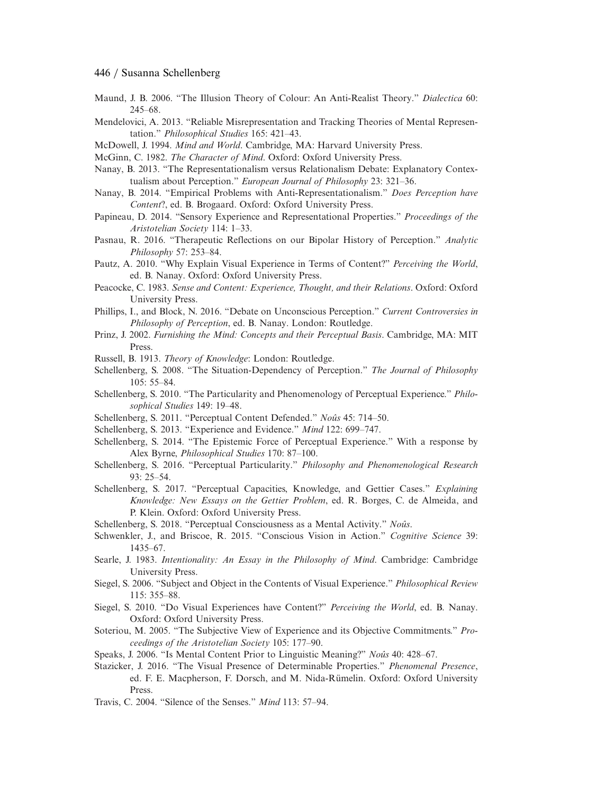- Maund, J. B. 2006. "The Illusion Theory of Colour: An Anti-Realist Theory." *Dialectica* 60: 245–68.
- Mendelovici, A. 2013. "Reliable Misrepresentation and Tracking Theories of Mental Representation." *Philosophical Studies* 165: 421–43.
- McDowell, J. 1994. *Mind and World*. Cambridge, MA: Harvard University Press.
- McGinn, C. 1982. *The Character of Mind*. Oxford: Oxford University Press.
- Nanay, B. 2013. "The Representationalism versus Relationalism Debate: Explanatory Contextualism about Perception." *European Journal of Philosophy* 23: 321–36.
- Nanay, B. 2014. "Empirical Problems with Anti-Representationalism." *Does Perception have Content*?, ed. B. Brogaard. Oxford: Oxford University Press.
- Papineau, D. 2014. "Sensory Experience and Representational Properties." *Proceedings of the Aristotelian Society* 114: 1–33.
- Pasnau, R. 2016. "Therapeutic Reflections on our Bipolar History of Perception." *Analytic Philosophy* 57: 253–84.
- Pautz, A. 2010. "Why Explain Visual Experience in Terms of Content?" *Perceiving the World*, ed. B. Nanay. Oxford: Oxford University Press.
- Peacocke, C. 1983. *Sense and Content: Experience, Thought, and their Relations*. Oxford: Oxford University Press.
- Phillips, I., and Block, N. 2016. "Debate on Unconscious Perception." *Current Controversies in Philosophy of Perception*, ed. B. Nanay. London: Routledge.
- Prinz, J. 2002. *Furnishing the Mind: Concepts and their Perceptual Basis*. Cambridge, MA: MIT Press.
- Russell, B. 1913. *Theory of Knowledge*: London: Routledge.
- Schellenberg, S. 2008. "The Situation-Dependency of Perception." *The Journal of Philosophy* 105: 55–84.
- Schellenberg, S. 2010. "The Particularity and Phenomenology of Perceptual Experience." *Philosophical Studies* 149: 19–48.
- Schellenberg, S. 2011. "Perceptual Content Defended." *Noûs* 45: 714–50.
- Schellenberg, S. 2013. "Experience and Evidence." *Mind* 122: 699–747.
- Schellenberg, S. 2014. "The Epistemic Force of Perceptual Experience." With a response by Alex Byrne, *Philosophical Studies* 170: 87–100.
- Schellenberg, S. 2016. "Perceptual Particularity." *Philosophy and Phenomenological Research* 93: 25–54.
- Schellenberg, S. 2017. "Perceptual Capacities, Knowledge, and Gettier Cases." *Explaining Knowledge: New Essays on the Gettier Problem*, ed. R. Borges, C. de Almeida, and P. Klein. Oxford: Oxford University Press.
- Schellenberg, S. 2018. "Perceptual Consciousness as a Mental Activity." *Noûs*.
- Schwenkler, J., and Briscoe, R. 2015. "Conscious Vision in Action." *Cognitive Science* 39: 1435–67.
- Searle, J. 1983. *Intentionality: An Essay in the Philosophy of Mind*. Cambridge: Cambridge University Press.
- Siegel, S. 2006. "Subject and Object in the Contents of Visual Experience." *Philosophical Review* 115: 355–88.
- Siegel, S. 2010. "Do Visual Experiences have Content?" *Perceiving the World*, ed. B. Nanay. Oxford: Oxford University Press.
- Soteriou, M. 2005. "The Subjective View of Experience and its Objective Commitments." *Proceedings of the Aristotelian Society* 105: 177–90.
- Speaks, J. 2006. "Is Mental Content Prior to Linguistic Meaning?" *Nousˆ* 40: 428–67.
- Stazicker, J. 2016. "The Visual Presence of Determinable Properties." *Phenomenal Presence*, ed. F. E. Macpherson, F. Dorsch, and M. Nida-Rümelin. Oxford: Oxford University Press.
- Travis, C. 2004. "Silence of the Senses." *Mind* 113: 57–94.